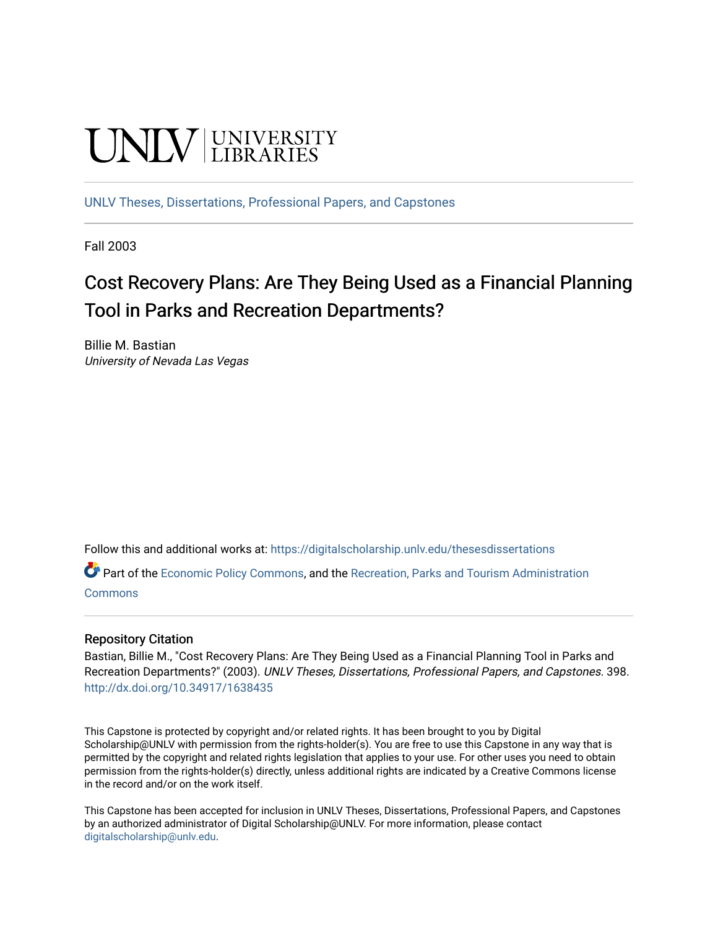# **UNIVERSITY**

[UNLV Theses, Dissertations, Professional Papers, and Capstones](https://digitalscholarship.unlv.edu/thesesdissertations)

Fall 2003

# Cost Recovery Plans: Are They Being Used as a Financial Planning Tool in Parks and Recreation Departments?

Billie M. Bastian University of Nevada Las Vegas

Follow this and additional works at: [https://digitalscholarship.unlv.edu/thesesdissertations](https://digitalscholarship.unlv.edu/thesesdissertations?utm_source=digitalscholarship.unlv.edu%2Fthesesdissertations%2F398&utm_medium=PDF&utm_campaign=PDFCoverPages)

Part of the [Economic Policy Commons](http://network.bepress.com/hgg/discipline/1025?utm_source=digitalscholarship.unlv.edu%2Fthesesdissertations%2F398&utm_medium=PDF&utm_campaign=PDFCoverPages), and the [Recreation, Parks and Tourism Administration](http://network.bepress.com/hgg/discipline/1067?utm_source=digitalscholarship.unlv.edu%2Fthesesdissertations%2F398&utm_medium=PDF&utm_campaign=PDFCoverPages) **[Commons](http://network.bepress.com/hgg/discipline/1067?utm_source=digitalscholarship.unlv.edu%2Fthesesdissertations%2F398&utm_medium=PDF&utm_campaign=PDFCoverPages)** 

#### Repository Citation

Bastian, Billie M., "Cost Recovery Plans: Are They Being Used as a Financial Planning Tool in Parks and Recreation Departments?" (2003). UNLV Theses, Dissertations, Professional Papers, and Capstones. 398. <http://dx.doi.org/10.34917/1638435>

This Capstone is protected by copyright and/or related rights. It has been brought to you by Digital Scholarship@UNLV with permission from the rights-holder(s). You are free to use this Capstone in any way that is permitted by the copyright and related rights legislation that applies to your use. For other uses you need to obtain permission from the rights-holder(s) directly, unless additional rights are indicated by a Creative Commons license in the record and/or on the work itself.

This Capstone has been accepted for inclusion in UNLV Theses, Dissertations, Professional Papers, and Capstones by an authorized administrator of Digital Scholarship@UNLV. For more information, please contact [digitalscholarship@unlv.edu](mailto:digitalscholarship@unlv.edu).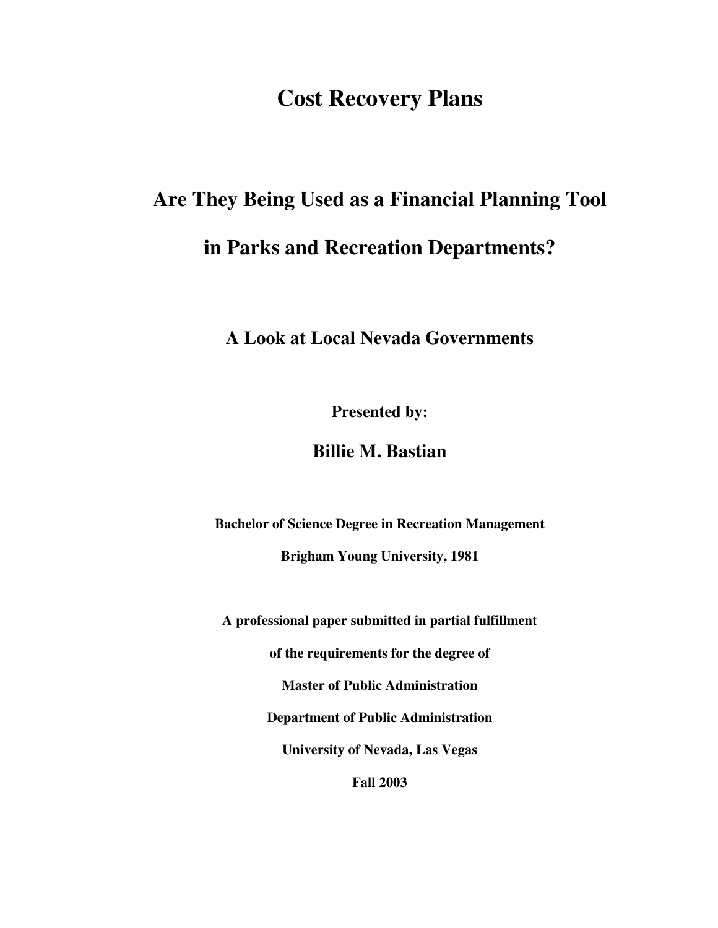# **Cost Recovery Plans**

# **Are They Being Used as a Financial Planning Tool in Parks and Recreation Departments?**

# **A Look at Local Nevada Governments**

**Presented by:** 

# **Billie M. Bastian**

**Bachelor of Science Degree in Recreation Management** 

**Brigham Young University, 1981** 

**A professional paper submitted in partial fulfillment** 

**of the requirements for the degree of** 

**Master of Public Administration** 

**Department of Public Administration** 

**University of Nevada, Las Vegas** 

**Fall 2003**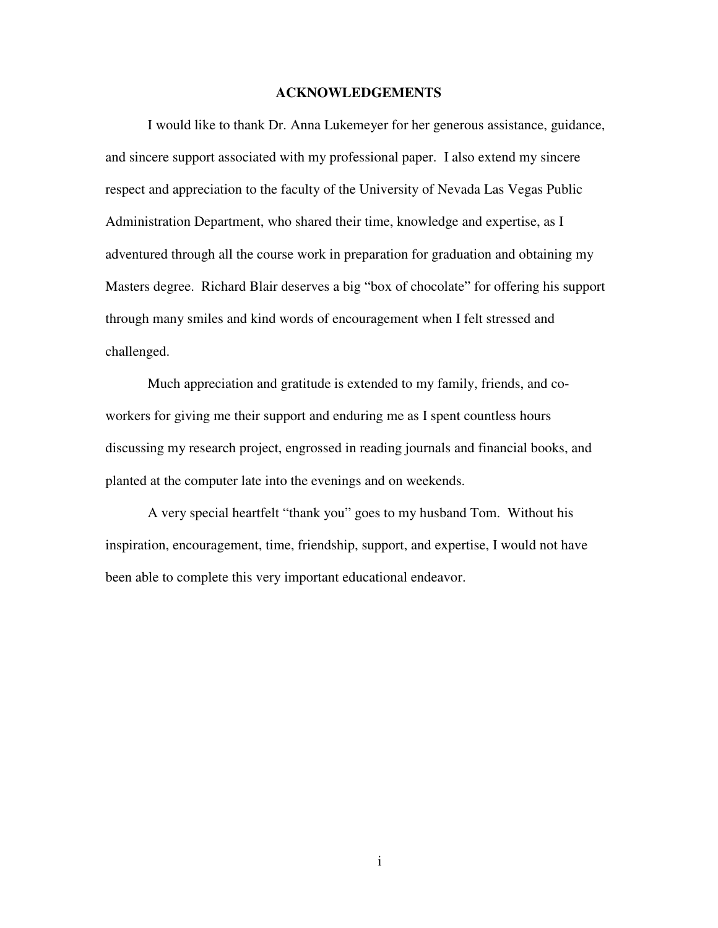#### **ACKNOWLEDGEMENTS**

I would like to thank Dr. Anna Lukemeyer for her generous assistance, guidance, and sincere support associated with my professional paper. I also extend my sincere respect and appreciation to the faculty of the University of Nevada Las Vegas Public Administration Department, who shared their time, knowledge and expertise, as I adventured through all the course work in preparation for graduation and obtaining my Masters degree. Richard Blair deserves a big "box of chocolate" for offering his support through many smiles and kind words of encouragement when I felt stressed and challenged.

Much appreciation and gratitude is extended to my family, friends, and coworkers for giving me their support and enduring me as I spent countless hours discussing my research project, engrossed in reading journals and financial books, and planted at the computer late into the evenings and on weekends.

A very special heartfelt "thank you" goes to my husband Tom. Without his inspiration, encouragement, time, friendship, support, and expertise, I would not have been able to complete this very important educational endeavor.

i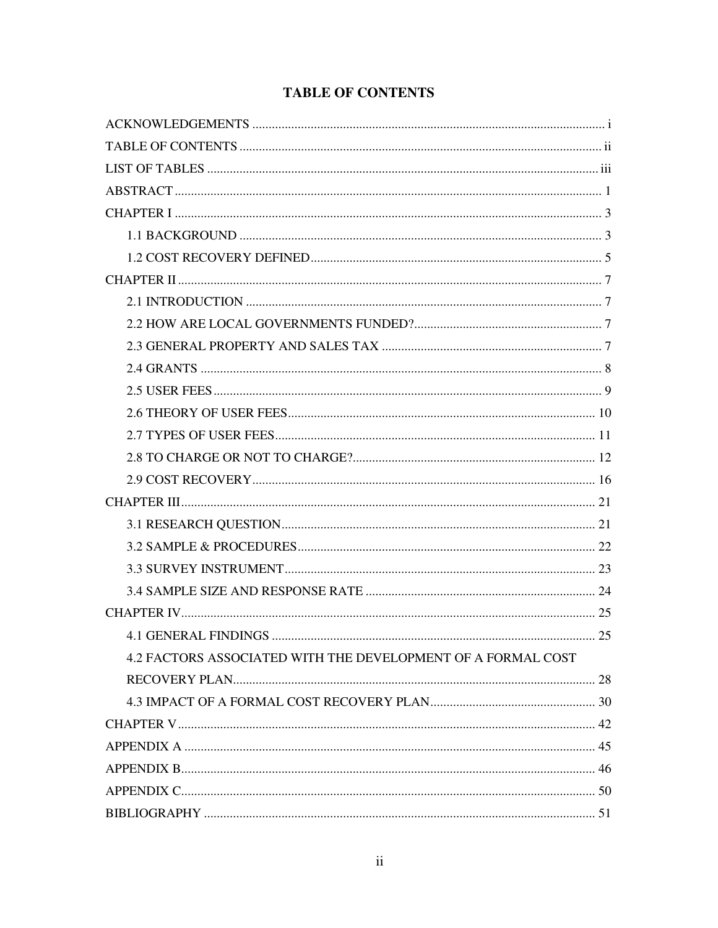## **TABLE OF CONTENTS**

| 4.2 FACTORS ASSOCIATED WITH THE DEVELOPMENT OF A FORMAL COST |
|--------------------------------------------------------------|
|                                                              |
|                                                              |
|                                                              |
|                                                              |
|                                                              |
|                                                              |
|                                                              |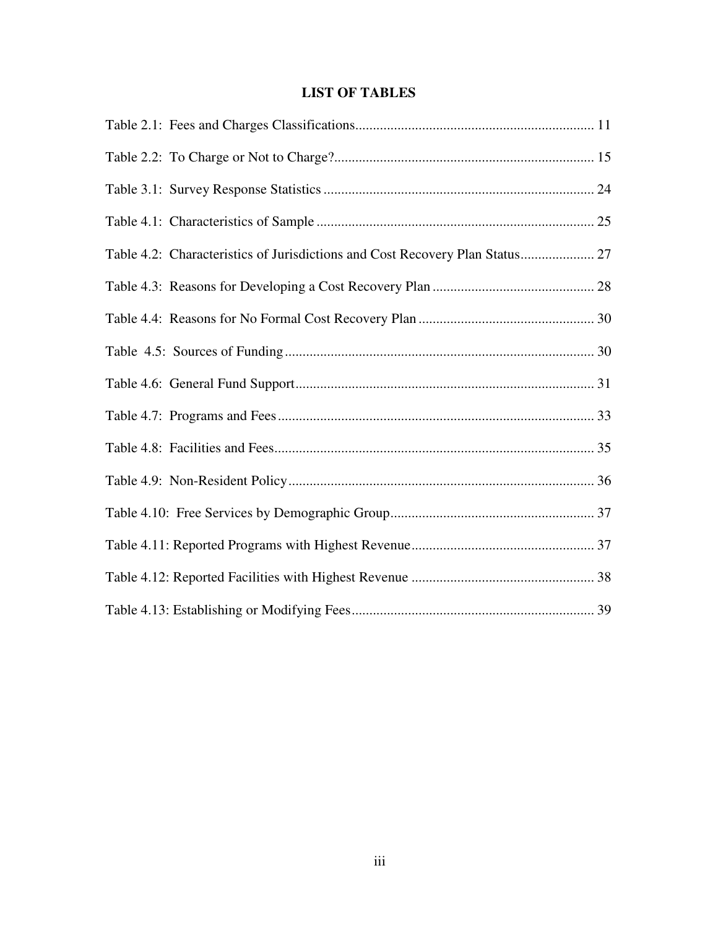### **LIST OF TABLES**

| Table 4.2: Characteristics of Jurisdictions and Cost Recovery Plan Status 27 |  |
|------------------------------------------------------------------------------|--|
|                                                                              |  |
|                                                                              |  |
|                                                                              |  |
|                                                                              |  |
|                                                                              |  |
|                                                                              |  |
|                                                                              |  |
|                                                                              |  |
|                                                                              |  |
|                                                                              |  |
|                                                                              |  |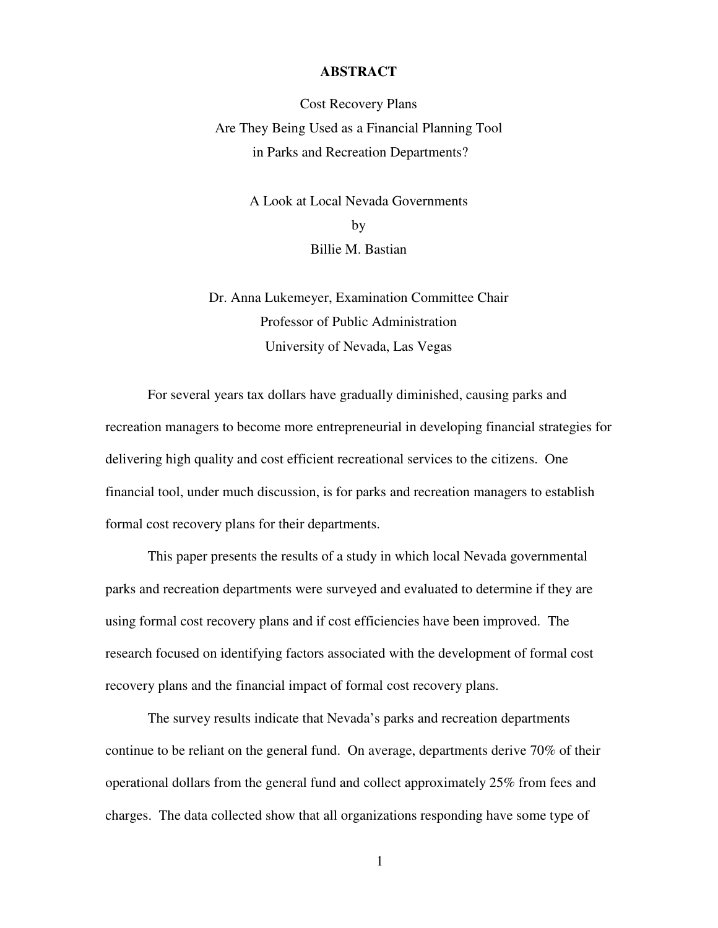#### **ABSTRACT**

Cost Recovery Plans Are They Being Used as a Financial Planning Tool in Parks and Recreation Departments?

> A Look at Local Nevada Governments by Billie M. Bastian

Dr. Anna Lukemeyer, Examination Committee Chair Professor of Public Administration University of Nevada, Las Vegas

For several years tax dollars have gradually diminished, causing parks and recreation managers to become more entrepreneurial in developing financial strategies for delivering high quality and cost efficient recreational services to the citizens. One financial tool, under much discussion, is for parks and recreation managers to establish formal cost recovery plans for their departments.

This paper presents the results of a study in which local Nevada governmental parks and recreation departments were surveyed and evaluated to determine if they are using formal cost recovery plans and if cost efficiencies have been improved. The research focused on identifying factors associated with the development of formal cost recovery plans and the financial impact of formal cost recovery plans.

The survey results indicate that Nevada's parks and recreation departments continue to be reliant on the general fund. On average, departments derive 70% of their operational dollars from the general fund and collect approximately 25% from fees and charges. The data collected show that all organizations responding have some type of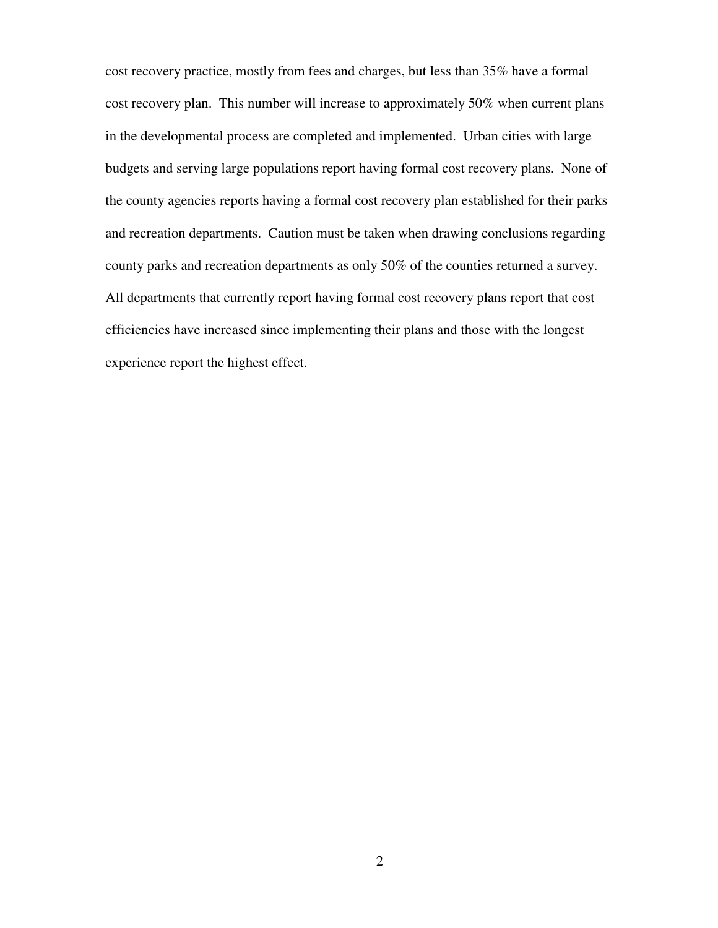cost recovery practice, mostly from fees and charges, but less than 35% have a formal cost recovery plan. This number will increase to approximately 50% when current plans in the developmental process are completed and implemented. Urban cities with large budgets and serving large populations report having formal cost recovery plans. None of the county agencies reports having a formal cost recovery plan established for their parks and recreation departments. Caution must be taken when drawing conclusions regarding county parks and recreation departments as only 50% of the counties returned a survey. All departments that currently report having formal cost recovery plans report that cost efficiencies have increased since implementing their plans and those with the longest experience report the highest effect.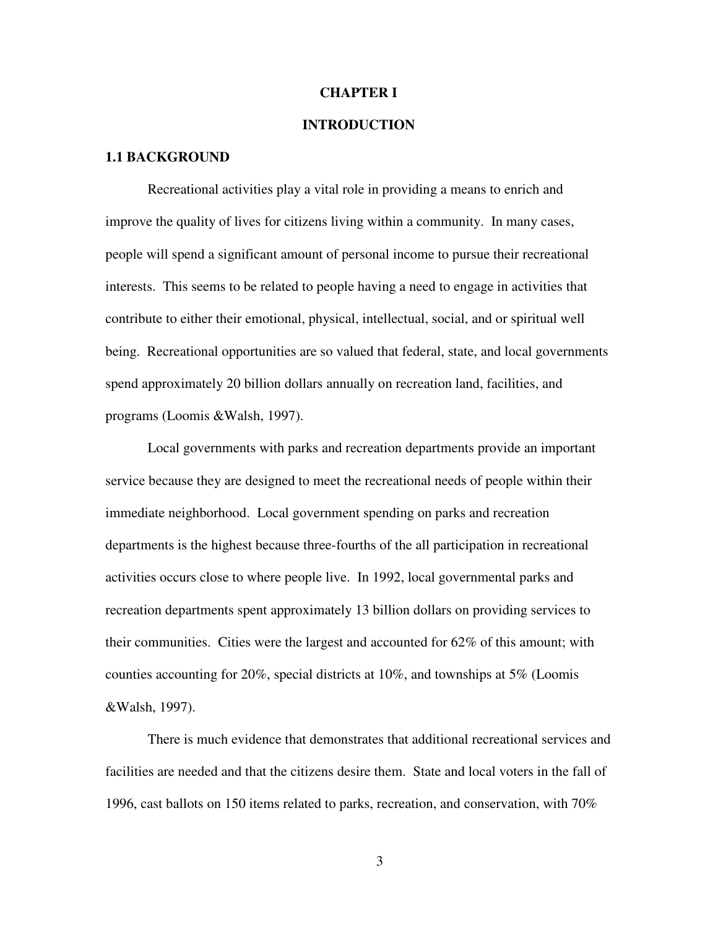#### **CHAPTER I**

#### **INTRODUCTION**

#### **1.1 BACKGROUND**

Recreational activities play a vital role in providing a means to enrich and improve the quality of lives for citizens living within a community. In many cases, people will spend a significant amount of personal income to pursue their recreational interests. This seems to be related to people having a need to engage in activities that contribute to either their emotional, physical, intellectual, social, and or spiritual well being. Recreational opportunities are so valued that federal, state, and local governments spend approximately 20 billion dollars annually on recreation land, facilities, and programs (Loomis &Walsh, 1997).

Local governments with parks and recreation departments provide an important service because they are designed to meet the recreational needs of people within their immediate neighborhood. Local government spending on parks and recreation departments is the highest because three-fourths of the all participation in recreational activities occurs close to where people live. In 1992, local governmental parks and recreation departments spent approximately 13 billion dollars on providing services to their communities. Cities were the largest and accounted for 62% of this amount; with counties accounting for 20%, special districts at 10%, and townships at 5% (Loomis &Walsh, 1997).

There is much evidence that demonstrates that additional recreational services and facilities are needed and that the citizens desire them. State and local voters in the fall of 1996, cast ballots on 150 items related to parks, recreation, and conservation, with 70%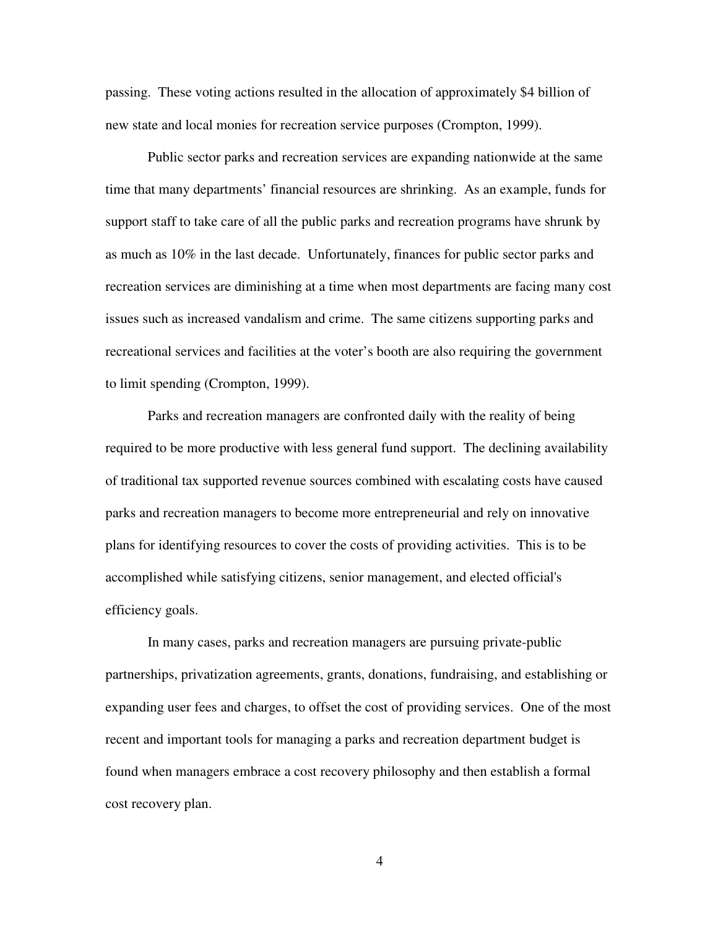passing. These voting actions resulted in the allocation of approximately \$4 billion of new state and local monies for recreation service purposes (Crompton, 1999).

Public sector parks and recreation services are expanding nationwide at the same time that many departments' financial resources are shrinking. As an example, funds for support staff to take care of all the public parks and recreation programs have shrunk by as much as 10% in the last decade. Unfortunately, finances for public sector parks and recreation services are diminishing at a time when most departments are facing many cost issues such as increased vandalism and crime. The same citizens supporting parks and recreational services and facilities at the voter's booth are also requiring the government to limit spending (Crompton, 1999).

Parks and recreation managers are confronted daily with the reality of being required to be more productive with less general fund support. The declining availability of traditional tax supported revenue sources combined with escalating costs have caused parks and recreation managers to become more entrepreneurial and rely on innovative plans for identifying resources to cover the costs of providing activities. This is to be accomplished while satisfying citizens, senior management, and elected official's efficiency goals.

In many cases, parks and recreation managers are pursuing private-public partnerships, privatization agreements, grants, donations, fundraising, and establishing or expanding user fees and charges, to offset the cost of providing services. One of the most recent and important tools for managing a parks and recreation department budget is found when managers embrace a cost recovery philosophy and then establish a formal cost recovery plan.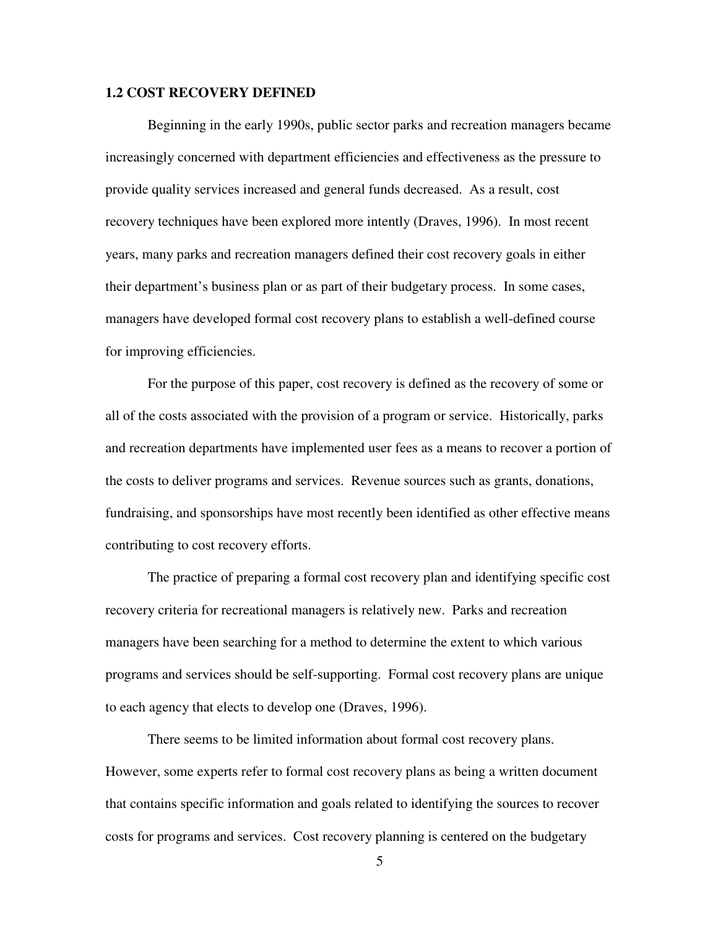#### **1.2 COST RECOVERY DEFINED**

Beginning in the early 1990s, public sector parks and recreation managers became increasingly concerned with department efficiencies and effectiveness as the pressure to provide quality services increased and general funds decreased. As a result, cost recovery techniques have been explored more intently (Draves, 1996). In most recent years, many parks and recreation managers defined their cost recovery goals in either their department's business plan or as part of their budgetary process. In some cases, managers have developed formal cost recovery plans to establish a well-defined course for improving efficiencies.

For the purpose of this paper, cost recovery is defined as the recovery of some or all of the costs associated with the provision of a program or service. Historically, parks and recreation departments have implemented user fees as a means to recover a portion of the costs to deliver programs and services. Revenue sources such as grants, donations, fundraising, and sponsorships have most recently been identified as other effective means contributing to cost recovery efforts.

The practice of preparing a formal cost recovery plan and identifying specific cost recovery criteria for recreational managers is relatively new. Parks and recreation managers have been searching for a method to determine the extent to which various programs and services should be self-supporting. Formal cost recovery plans are unique to each agency that elects to develop one (Draves, 1996).

There seems to be limited information about formal cost recovery plans. However, some experts refer to formal cost recovery plans as being a written document that contains specific information and goals related to identifying the sources to recover costs for programs and services. Cost recovery planning is centered on the budgetary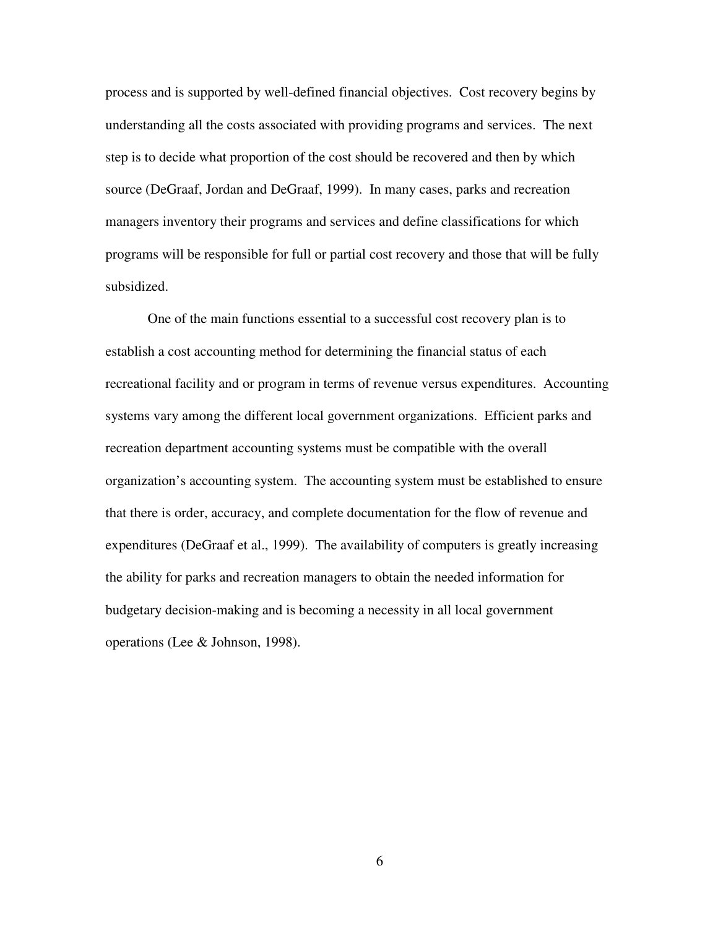process and is supported by well-defined financial objectives. Cost recovery begins by understanding all the costs associated with providing programs and services. The next step is to decide what proportion of the cost should be recovered and then by which source (DeGraaf, Jordan and DeGraaf, 1999). In many cases, parks and recreation managers inventory their programs and services and define classifications for which programs will be responsible for full or partial cost recovery and those that will be fully subsidized.

One of the main functions essential to a successful cost recovery plan is to establish a cost accounting method for determining the financial status of each recreational facility and or program in terms of revenue versus expenditures. Accounting systems vary among the different local government organizations. Efficient parks and recreation department accounting systems must be compatible with the overall organization's accounting system. The accounting system must be established to ensure that there is order, accuracy, and complete documentation for the flow of revenue and expenditures (DeGraaf et al., 1999). The availability of computers is greatly increasing the ability for parks and recreation managers to obtain the needed information for budgetary decision-making and is becoming a necessity in all local government operations (Lee & Johnson, 1998).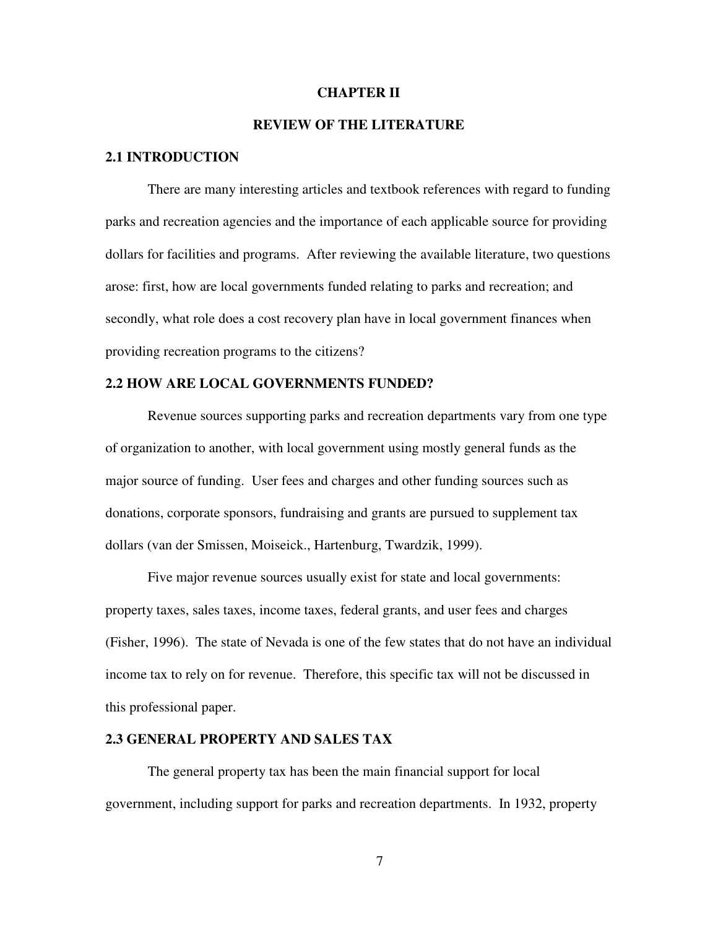#### **CHAPTER II**

#### **REVIEW OF THE LITERATURE**

#### **2.1 INTRODUCTION**

There are many interesting articles and textbook references with regard to funding parks and recreation agencies and the importance of each applicable source for providing dollars for facilities and programs. After reviewing the available literature, two questions arose: first, how are local governments funded relating to parks and recreation; and secondly, what role does a cost recovery plan have in local government finances when providing recreation programs to the citizens?

#### **2.2 HOW ARE LOCAL GOVERNMENTS FUNDED?**

Revenue sources supporting parks and recreation departments vary from one type of organization to another, with local government using mostly general funds as the major source of funding. User fees and charges and other funding sources such as donations, corporate sponsors, fundraising and grants are pursued to supplement tax dollars (van der Smissen, Moiseick., Hartenburg, Twardzik, 1999).

Five major revenue sources usually exist for state and local governments: property taxes, sales taxes, income taxes, federal grants, and user fees and charges (Fisher, 1996). The state of Nevada is one of the few states that do not have an individual income tax to rely on for revenue. Therefore, this specific tax will not be discussed in this professional paper.

#### **2.3 GENERAL PROPERTY AND SALES TAX**

The general property tax has been the main financial support for local government, including support for parks and recreation departments. In 1932, property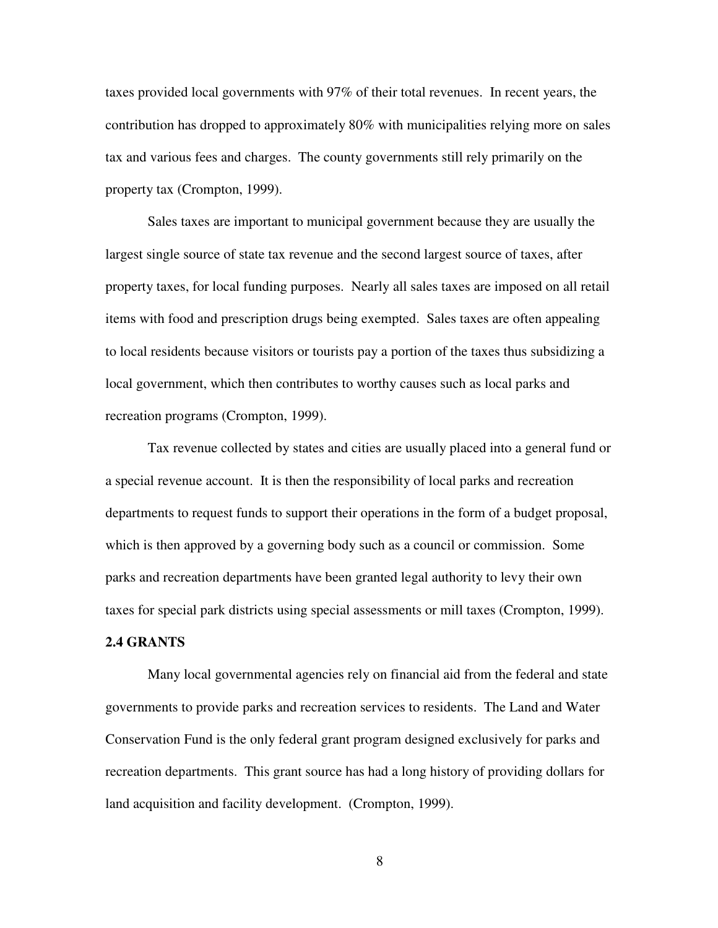taxes provided local governments with 97% of their total revenues. In recent years, the contribution has dropped to approximately 80% with municipalities relying more on sales tax and various fees and charges. The county governments still rely primarily on the property tax (Crompton, 1999).

Sales taxes are important to municipal government because they are usually the largest single source of state tax revenue and the second largest source of taxes, after property taxes, for local funding purposes. Nearly all sales taxes are imposed on all retail items with food and prescription drugs being exempted. Sales taxes are often appealing to local residents because visitors or tourists pay a portion of the taxes thus subsidizing a local government, which then contributes to worthy causes such as local parks and recreation programs (Crompton, 1999).

Tax revenue collected by states and cities are usually placed into a general fund or a special revenue account. It is then the responsibility of local parks and recreation departments to request funds to support their operations in the form of a budget proposal, which is then approved by a governing body such as a council or commission. Some parks and recreation departments have been granted legal authority to levy their own taxes for special park districts using special assessments or mill taxes (Crompton, 1999).

#### **2.4 GRANTS**

Many local governmental agencies rely on financial aid from the federal and state governments to provide parks and recreation services to residents. The Land and Water Conservation Fund is the only federal grant program designed exclusively for parks and recreation departments. This grant source has had a long history of providing dollars for land acquisition and facility development. (Crompton, 1999).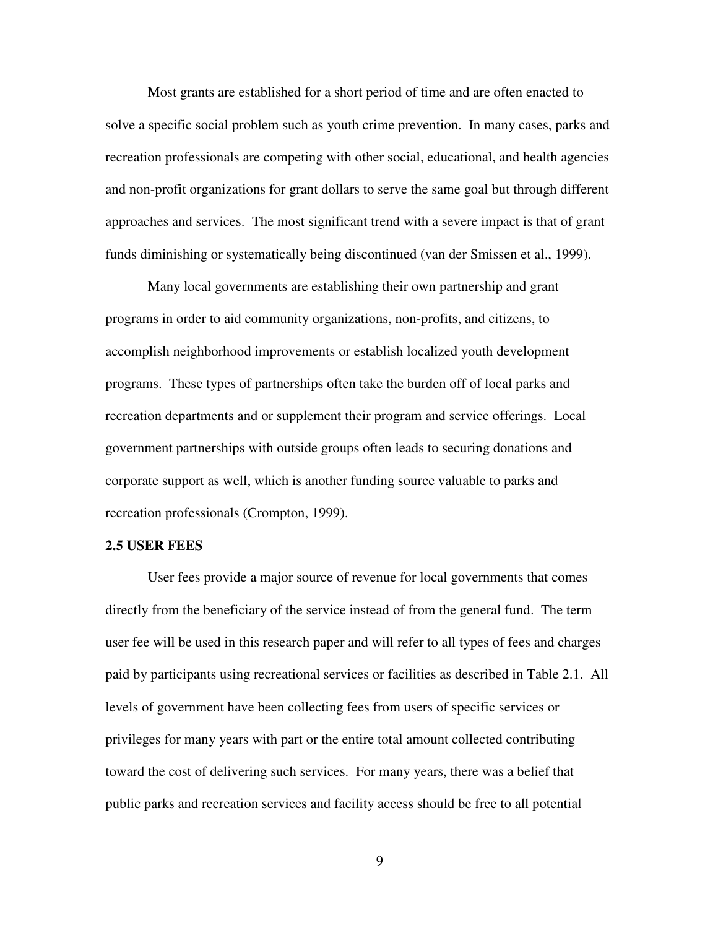Most grants are established for a short period of time and are often enacted to solve a specific social problem such as youth crime prevention. In many cases, parks and recreation professionals are competing with other social, educational, and health agencies and non-profit organizations for grant dollars to serve the same goal but through different approaches and services. The most significant trend with a severe impact is that of grant funds diminishing or systematically being discontinued (van der Smissen et al., 1999).

Many local governments are establishing their own partnership and grant programs in order to aid community organizations, non-profits, and citizens, to accomplish neighborhood improvements or establish localized youth development programs. These types of partnerships often take the burden off of local parks and recreation departments and or supplement their program and service offerings. Local government partnerships with outside groups often leads to securing donations and corporate support as well, which is another funding source valuable to parks and recreation professionals (Crompton, 1999).

#### **2.5 USER FEES**

User fees provide a major source of revenue for local governments that comes directly from the beneficiary of the service instead of from the general fund. The term user fee will be used in this research paper and will refer to all types of fees and charges paid by participants using recreational services or facilities as described in Table 2.1. All levels of government have been collecting fees from users of specific services or privileges for many years with part or the entire total amount collected contributing toward the cost of delivering such services. For many years, there was a belief that public parks and recreation services and facility access should be free to all potential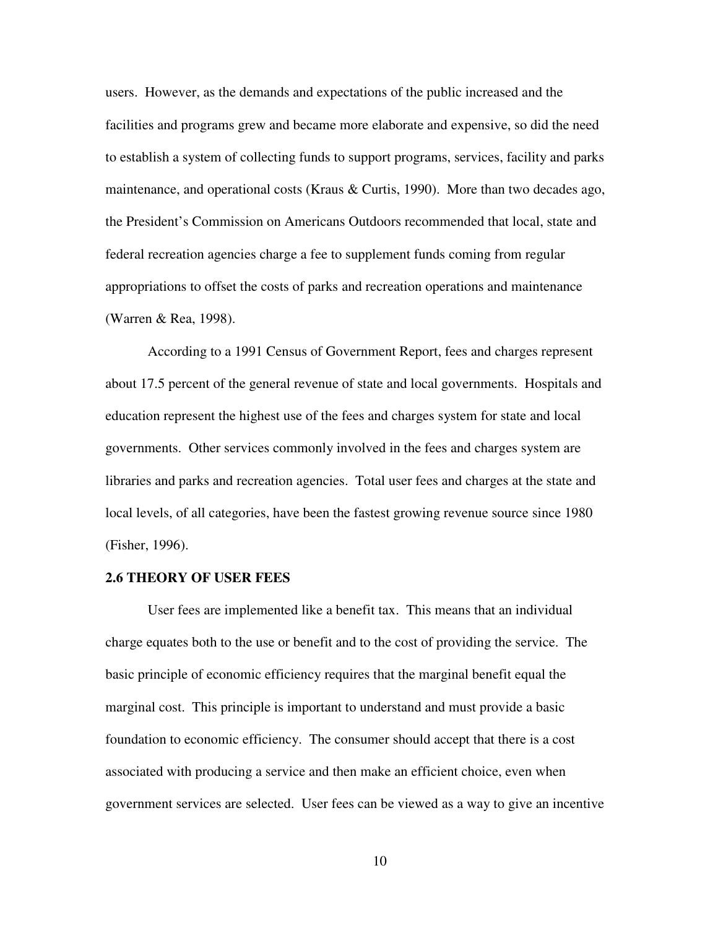users. However, as the demands and expectations of the public increased and the facilities and programs grew and became more elaborate and expensive, so did the need to establish a system of collecting funds to support programs, services, facility and parks maintenance, and operational costs (Kraus & Curtis, 1990). More than two decades ago, the President's Commission on Americans Outdoors recommended that local, state and federal recreation agencies charge a fee to supplement funds coming from regular appropriations to offset the costs of parks and recreation operations and maintenance (Warren & Rea, 1998).

According to a 1991 Census of Government Report, fees and charges represent about 17.5 percent of the general revenue of state and local governments. Hospitals and education represent the highest use of the fees and charges system for state and local governments. Other services commonly involved in the fees and charges system are libraries and parks and recreation agencies. Total user fees and charges at the state and local levels, of all categories, have been the fastest growing revenue source since 1980 (Fisher, 1996).

#### **2.6 THEORY OF USER FEES**

User fees are implemented like a benefit tax. This means that an individual charge equates both to the use or benefit and to the cost of providing the service. The basic principle of economic efficiency requires that the marginal benefit equal the marginal cost. This principle is important to understand and must provide a basic foundation to economic efficiency. The consumer should accept that there is a cost associated with producing a service and then make an efficient choice, even when government services are selected. User fees can be viewed as a way to give an incentive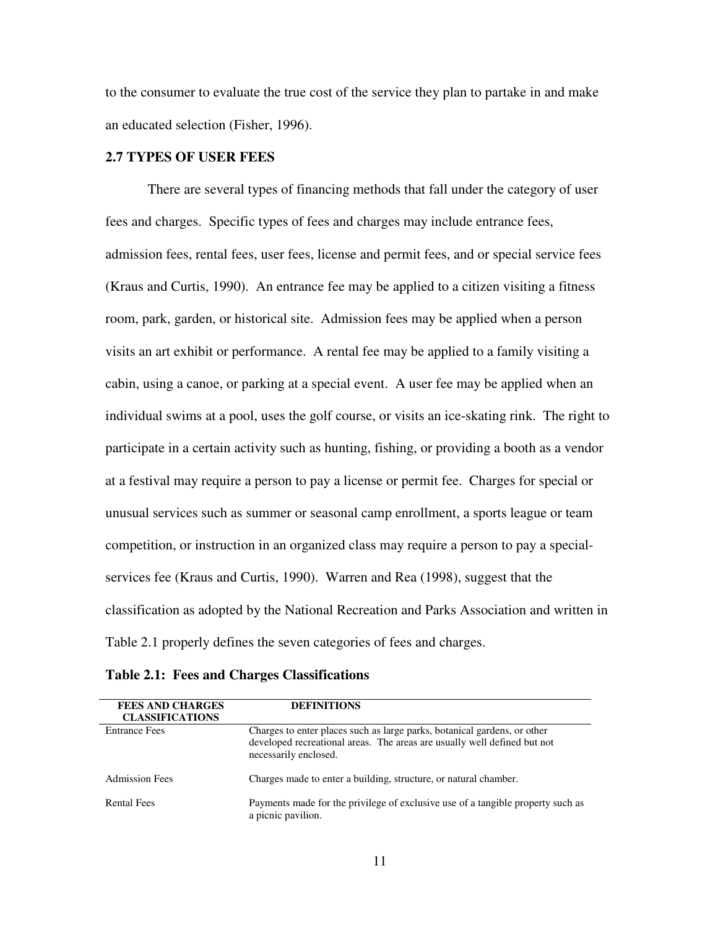to the consumer to evaluate the true cost of the service they plan to partake in and make an educated selection (Fisher, 1996).

#### **2.7 TYPES OF USER FEES**

There are several types of financing methods that fall under the category of user fees and charges. Specific types of fees and charges may include entrance fees, admission fees, rental fees, user fees, license and permit fees, and or special service fees (Kraus and Curtis, 1990). An entrance fee may be applied to a citizen visiting a fitness room, park, garden, or historical site. Admission fees may be applied when a person visits an art exhibit or performance. A rental fee may be applied to a family visiting a cabin, using a canoe, or parking at a special event. A user fee may be applied when an individual swims at a pool, uses the golf course, or visits an ice-skating rink. The right to participate in a certain activity such as hunting, fishing, or providing a booth as a vendor at a festival may require a person to pay a license or permit fee. Charges for special or unusual services such as summer or seasonal camp enrollment, a sports league or team competition, or instruction in an organized class may require a person to pay a specialservices fee (Kraus and Curtis, 1990). Warren and Rea (1998), suggest that the classification as adopted by the National Recreation and Parks Association and written in Table 2.1 properly defines the seven categories of fees and charges.

| <b>FEES AND CHARGES</b> | <b>DEFINITIONS</b>                                                                                                                                                            |
|-------------------------|-------------------------------------------------------------------------------------------------------------------------------------------------------------------------------|
| <b>CLASSIFICATIONS</b>  |                                                                                                                                                                               |
| <b>Entrance Fees</b>    | Charges to enter places such as large parks, botanical gardens, or other<br>developed recreational areas. The areas are usually well defined but not<br>necessarily enclosed. |
|                         |                                                                                                                                                                               |
| <b>Admission Fees</b>   | Charges made to enter a building, structure, or natural chamber.                                                                                                              |
| <b>Rental Fees</b>      | Payments made for the privilege of exclusive use of a tangible property such as<br>a picnic pavilion.                                                                         |

**Table 2.1: Fees and Charges Classifications**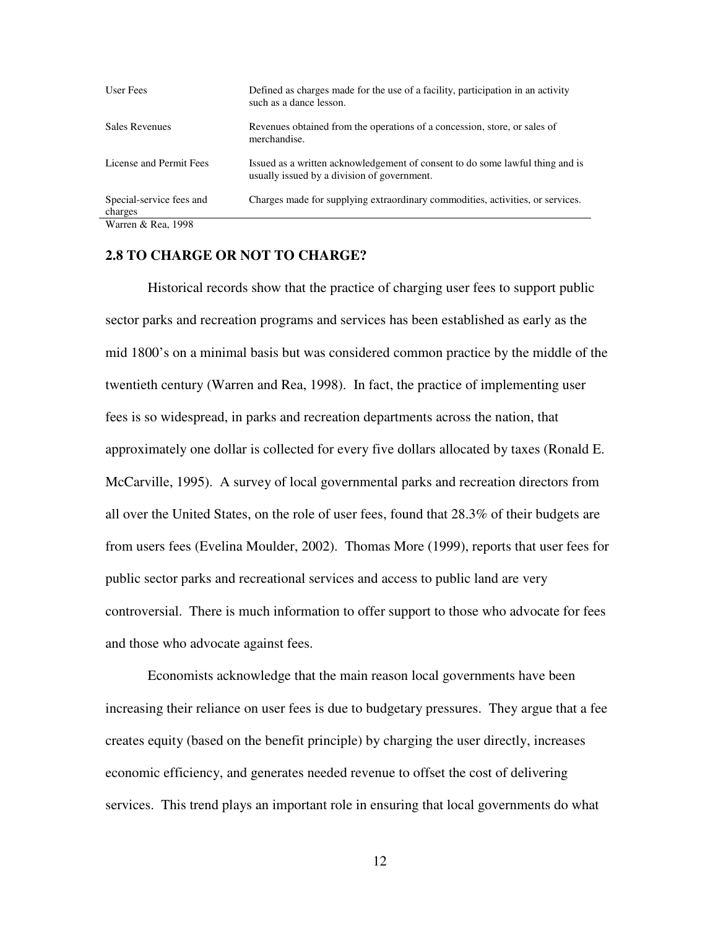| User Fees                           | Defined as charges made for the use of a facility, participation in an activity<br>such as a dance lesson.                   |
|-------------------------------------|------------------------------------------------------------------------------------------------------------------------------|
| <b>Sales Revenues</b>               | Revenues obtained from the operations of a concession, store, or sales of<br>merchandise.                                    |
| License and Permit Fees             | Issued as a written acknowledgement of consent to do some lawful thing and is<br>usually issued by a division of government. |
| Special-service fees and<br>charges | Charges made for supplying extraordinary commodities, activities, or services.                                               |
| $Worron$ $\ell_r$ $Don$ 1008        |                                                                                                                              |

Warren & Rea, 1998

#### **2.8 TO CHARGE OR NOT TO CHARGE?**

Historical records show that the practice of charging user fees to support public sector parks and recreation programs and services has been established as early as the mid 1800's on a minimal basis but was considered common practice by the middle of the twentieth century (Warren and Rea, 1998). In fact, the practice of implementing user fees is so widespread, in parks and recreation departments across the nation, that approximately one dollar is collected for every five dollars allocated by taxes (Ronald E. McCarville, 1995). A survey of local governmental parks and recreation directors from all over the United States, on the role of user fees, found that 28.3% of their budgets are from users fees (Evelina Moulder, 2002). Thomas More (1999), reports that user fees for public sector parks and recreational services and access to public land are very controversial. There is much information to offer support to those who advocate for fees and those who advocate against fees.

Economists acknowledge that the main reason local governments have been increasing their reliance on user fees is due to budgetary pressures. They argue that a fee creates equity (based on the benefit principle) by charging the user directly, increases economic efficiency, and generates needed revenue to offset the cost of delivering services. This trend plays an important role in ensuring that local governments do what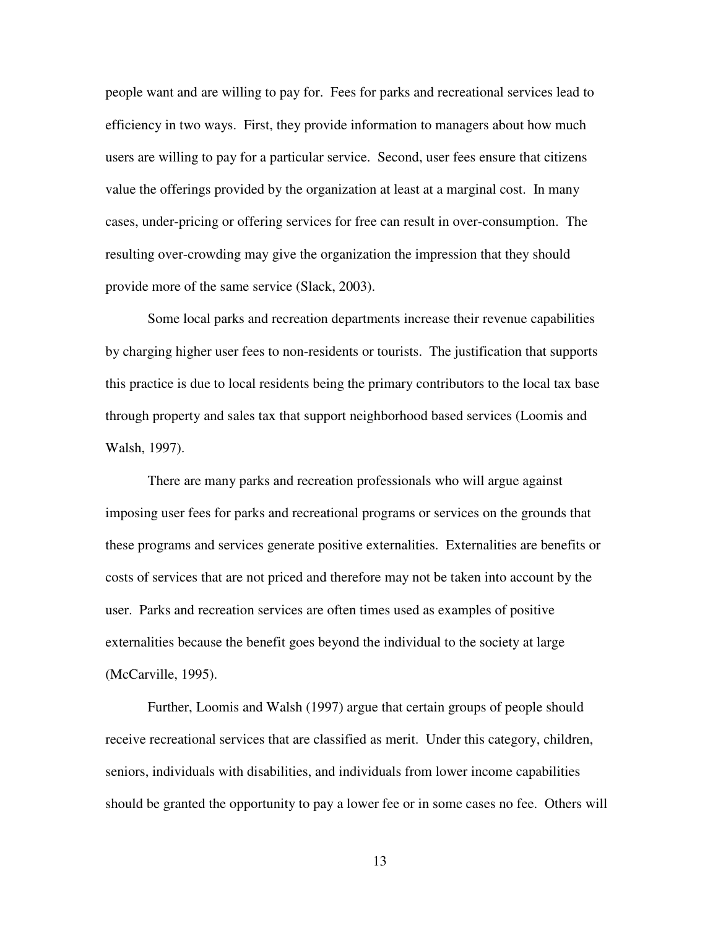people want and are willing to pay for. Fees for parks and recreational services lead to efficiency in two ways. First, they provide information to managers about how much users are willing to pay for a particular service. Second, user fees ensure that citizens value the offerings provided by the organization at least at a marginal cost. In many cases, under-pricing or offering services for free can result in over-consumption. The resulting over-crowding may give the organization the impression that they should provide more of the same service (Slack, 2003).

Some local parks and recreation departments increase their revenue capabilities by charging higher user fees to non-residents or tourists. The justification that supports this practice is due to local residents being the primary contributors to the local tax base through property and sales tax that support neighborhood based services (Loomis and Walsh, 1997).

There are many parks and recreation professionals who will argue against imposing user fees for parks and recreational programs or services on the grounds that these programs and services generate positive externalities. Externalities are benefits or costs of services that are not priced and therefore may not be taken into account by the user. Parks and recreation services are often times used as examples of positive externalities because the benefit goes beyond the individual to the society at large (McCarville, 1995).

Further, Loomis and Walsh (1997) argue that certain groups of people should receive recreational services that are classified as merit. Under this category, children, seniors, individuals with disabilities, and individuals from lower income capabilities should be granted the opportunity to pay a lower fee or in some cases no fee. Others will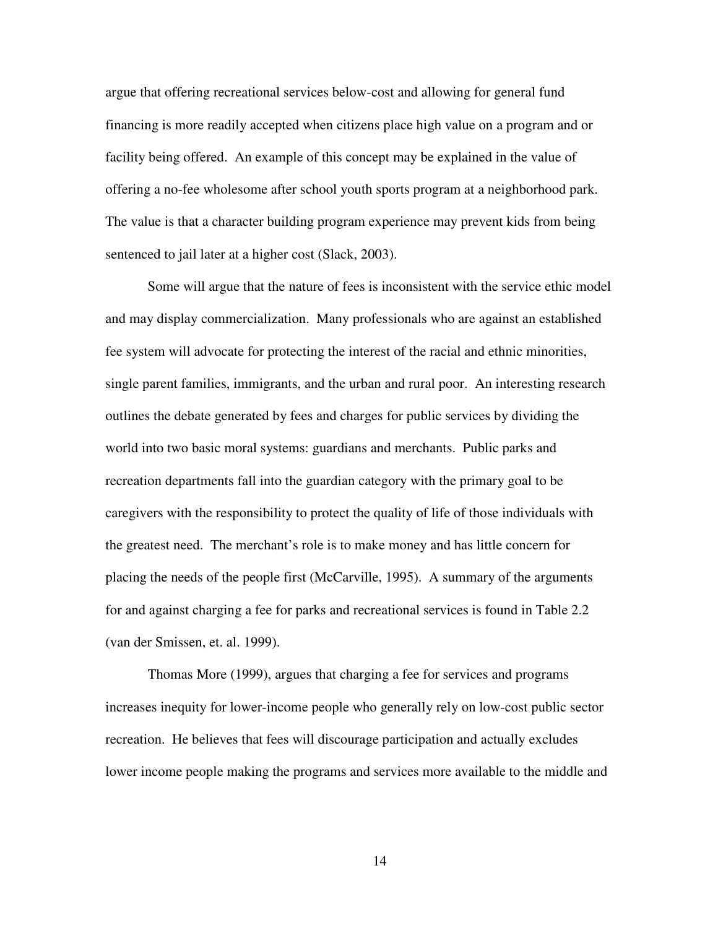argue that offering recreational services below-cost and allowing for general fund financing is more readily accepted when citizens place high value on a program and or facility being offered. An example of this concept may be explained in the value of offering a no-fee wholesome after school youth sports program at a neighborhood park. The value is that a character building program experience may prevent kids from being sentenced to jail later at a higher cost (Slack, 2003).

Some will argue that the nature of fees is inconsistent with the service ethic model and may display commercialization. Many professionals who are against an established fee system will advocate for protecting the interest of the racial and ethnic minorities, single parent families, immigrants, and the urban and rural poor. An interesting research outlines the debate generated by fees and charges for public services by dividing the world into two basic moral systems: guardians and merchants. Public parks and recreation departments fall into the guardian category with the primary goal to be caregivers with the responsibility to protect the quality of life of those individuals with the greatest need. The merchant's role is to make money and has little concern for placing the needs of the people first (McCarville, 1995). A summary of the arguments for and against charging a fee for parks and recreational services is found in Table 2.2 (van der Smissen, et. al. 1999).

Thomas More (1999), argues that charging a fee for services and programs increases inequity for lower-income people who generally rely on low-cost public sector recreation. He believes that fees will discourage participation and actually excludes lower income people making the programs and services more available to the middle and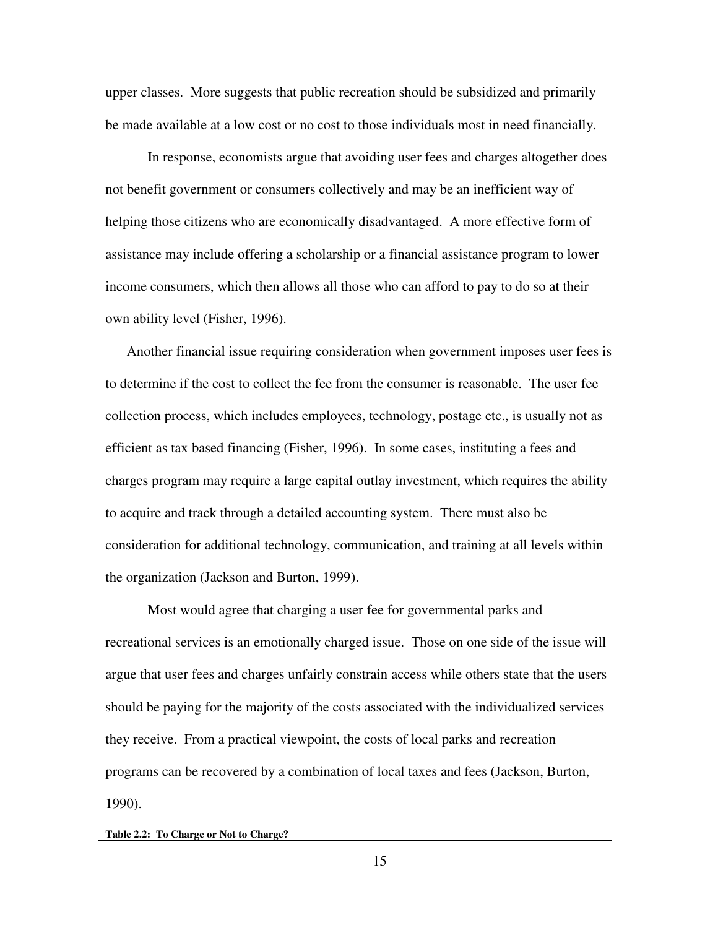upper classes. More suggests that public recreation should be subsidized and primarily be made available at a low cost or no cost to those individuals most in need financially.

In response, economists argue that avoiding user fees and charges altogether does not benefit government or consumers collectively and may be an inefficient way of helping those citizens who are economically disadvantaged. A more effective form of assistance may include offering a scholarship or a financial assistance program to lower income consumers, which then allows all those who can afford to pay to do so at their own ability level (Fisher, 1996).

Another financial issue requiring consideration when government imposes user fees is to determine if the cost to collect the fee from the consumer is reasonable. The user fee collection process, which includes employees, technology, postage etc., is usually not as efficient as tax based financing (Fisher, 1996). In some cases, instituting a fees and charges program may require a large capital outlay investment, which requires the ability to acquire and track through a detailed accounting system. There must also be consideration for additional technology, communication, and training at all levels within the organization (Jackson and Burton, 1999).

Most would agree that charging a user fee for governmental parks and recreational services is an emotionally charged issue. Those on one side of the issue will argue that user fees and charges unfairly constrain access while others state that the users should be paying for the majority of the costs associated with the individualized services they receive. From a practical viewpoint, the costs of local parks and recreation programs can be recovered by a combination of local taxes and fees (Jackson, Burton, 1990).

#### **Table 2.2: To Charge or Not to Charge?**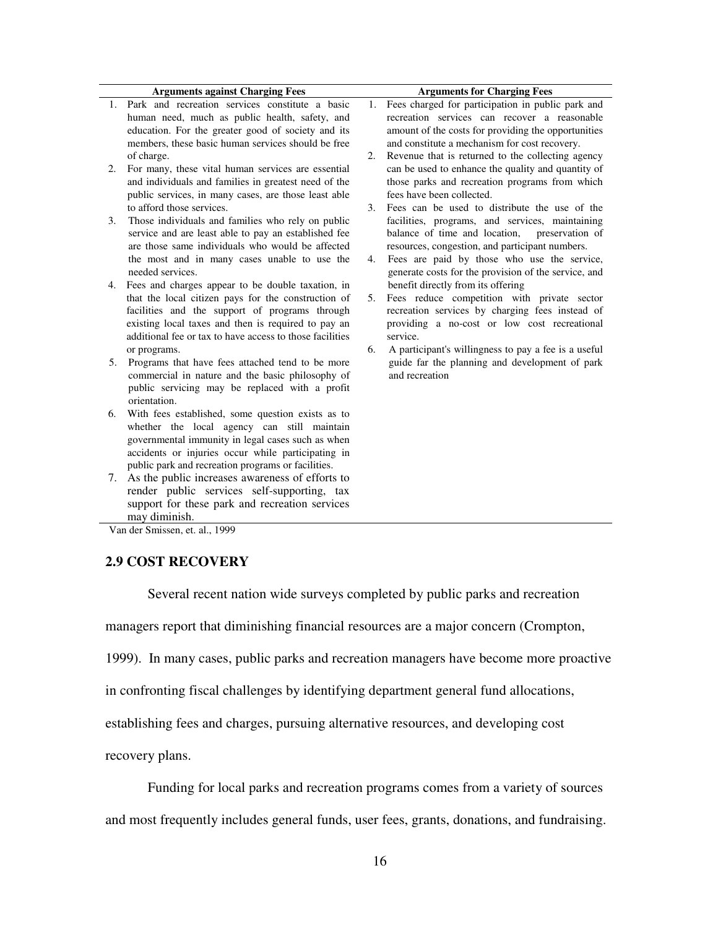|    | <b>Arguments against Charging Fees</b>                                                           |    | <b>Arguments for Charging Fees</b>                               |
|----|--------------------------------------------------------------------------------------------------|----|------------------------------------------------------------------|
|    | 1. Park and recreation services constitute a basic                                               |    | 1. Fees charged for participation in public park and             |
|    | human need, much as public health, safety, and                                                   |    | recreation services can recover a reasonable                     |
|    | education. For the greater good of society and its                                               |    | amount of the costs for providing the opportunities              |
|    | members, these basic human services should be free                                               |    | and constitute a mechanism for cost recovery.                    |
|    | of charge.                                                                                       | 2. | Revenue that is returned to the collecting agency                |
| 2. | For many, these vital human services are essential                                               |    | can be used to enhance the quality and quantity of               |
|    | and individuals and families in greatest need of the                                             |    | those parks and recreation programs from which                   |
|    | public services, in many cases, are those least able                                             |    | fees have been collected.                                        |
|    | to afford those services.                                                                        | 3. | Fees can be used to distribute the use of the                    |
| 3. | Those individuals and families who rely on public                                                |    | facilities, programs, and services, maintaining                  |
|    | service and are least able to pay an established fee                                             |    | balance of time and location,<br>preservation of                 |
|    | are those same individuals who would be affected                                                 |    | resources, congestion, and participant numbers.                  |
|    | the most and in many cases unable to use the                                                     | 4. | Fees are paid by those who use the service,                      |
|    | needed services.                                                                                 |    | generate costs for the provision of the service, and             |
| 4. | Fees and charges appear to be double taxation, in                                                |    | benefit directly from its offering                               |
|    | that the local citizen pays for the construction of                                              | 5. | Fees reduce competition with private sector                      |
|    | facilities and the support of programs through                                                   |    | recreation services by charging fees instead of                  |
|    | existing local taxes and then is required to pay an                                              |    | providing a no-cost or low cost recreational                     |
|    | additional fee or tax to have access to those facilities                                         |    | service.                                                         |
|    | or programs.                                                                                     | 6. | A participant's willingness to pay a fee is a useful             |
| 5. | Programs that have fees attached tend to be more                                                 |    | guide far the planning and development of park<br>and recreation |
|    | commercial in nature and the basic philosophy of                                                 |    |                                                                  |
|    | public servicing may be replaced with a profit<br>orientation.                                   |    |                                                                  |
|    |                                                                                                  |    |                                                                  |
| 6. | With fees established, some question exists as to<br>whether the local agency can still maintain |    |                                                                  |
|    | governmental immunity in legal cases such as when                                                |    |                                                                  |
|    | accidents or injuries occur while participating in                                               |    |                                                                  |
|    | public park and recreation programs or facilities.                                               |    |                                                                  |
| 7. | As the public increases awareness of efforts to                                                  |    |                                                                  |

may diminish. Van der Smissen, et. al., 1999

render public services self-supporting, tax support for these park and recreation services

#### **2.9 COST RECOVERY**

Several recent nation wide surveys completed by public parks and recreation

managers report that diminishing financial resources are a major concern (Crompton,

1999). In many cases, public parks and recreation managers have become more proactive

in confronting fiscal challenges by identifying department general fund allocations,

establishing fees and charges, pursuing alternative resources, and developing cost

recovery plans.

Funding for local parks and recreation programs comes from a variety of sources

and most frequently includes general funds, user fees, grants, donations, and fundraising.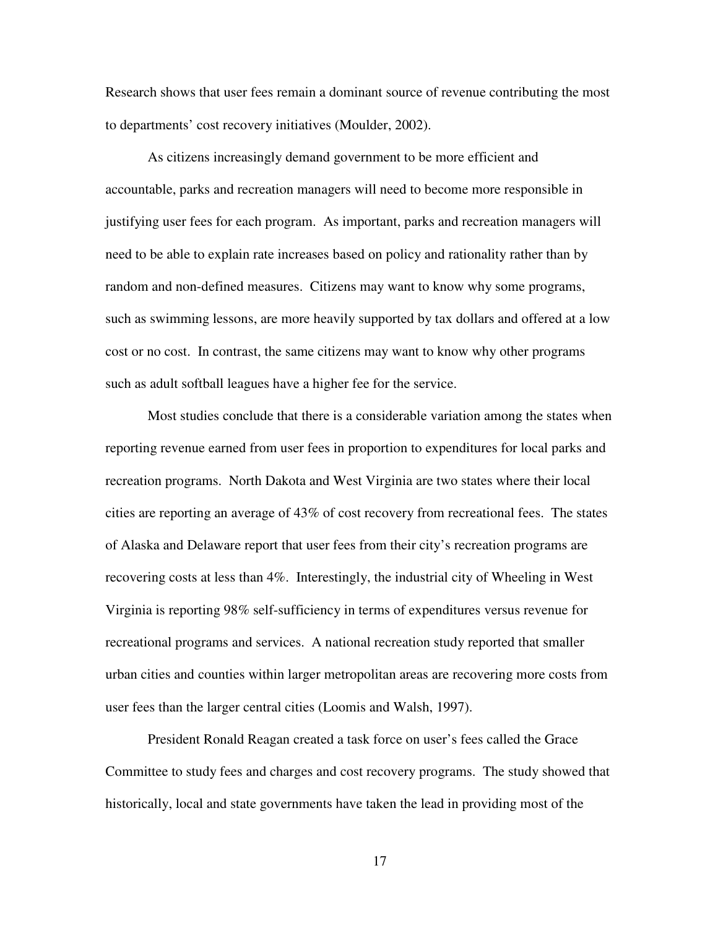Research shows that user fees remain a dominant source of revenue contributing the most to departments' cost recovery initiatives (Moulder, 2002).

As citizens increasingly demand government to be more efficient and accountable, parks and recreation managers will need to become more responsible in justifying user fees for each program. As important, parks and recreation managers will need to be able to explain rate increases based on policy and rationality rather than by random and non-defined measures. Citizens may want to know why some programs, such as swimming lessons, are more heavily supported by tax dollars and offered at a low cost or no cost. In contrast, the same citizens may want to know why other programs such as adult softball leagues have a higher fee for the service.

Most studies conclude that there is a considerable variation among the states when reporting revenue earned from user fees in proportion to expenditures for local parks and recreation programs. North Dakota and West Virginia are two states where their local cities are reporting an average of 43% of cost recovery from recreational fees. The states of Alaska and Delaware report that user fees from their city's recreation programs are recovering costs at less than 4%. Interestingly, the industrial city of Wheeling in West Virginia is reporting 98% self-sufficiency in terms of expenditures versus revenue for recreational programs and services. A national recreation study reported that smaller urban cities and counties within larger metropolitan areas are recovering more costs from user fees than the larger central cities (Loomis and Walsh, 1997).

President Ronald Reagan created a task force on user's fees called the Grace Committee to study fees and charges and cost recovery programs. The study showed that historically, local and state governments have taken the lead in providing most of the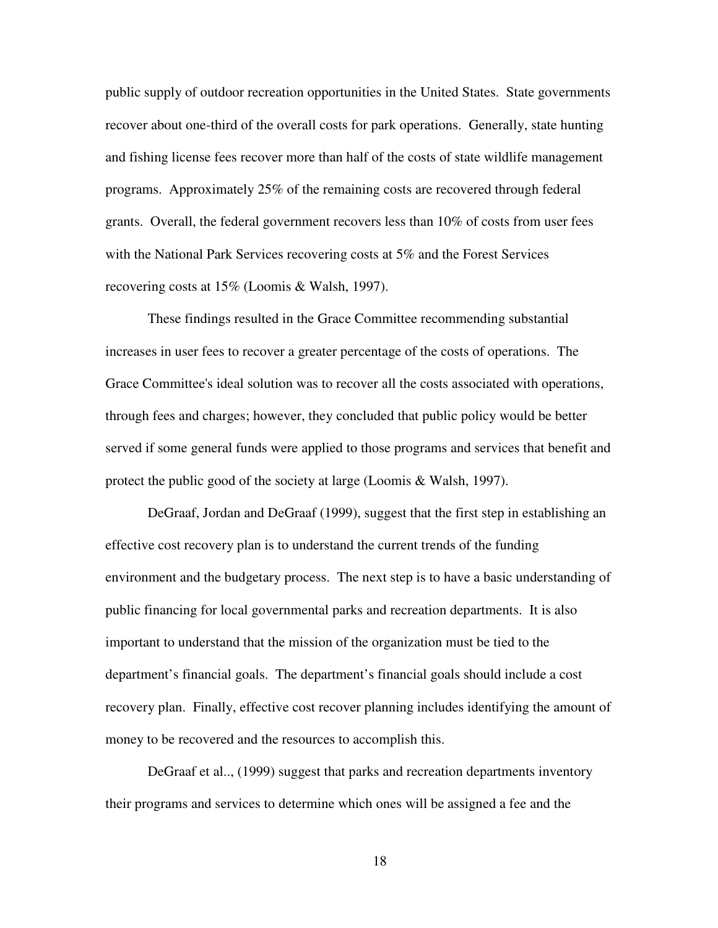public supply of outdoor recreation opportunities in the United States. State governments recover about one-third of the overall costs for park operations. Generally, state hunting and fishing license fees recover more than half of the costs of state wildlife management programs. Approximately 25% of the remaining costs are recovered through federal grants. Overall, the federal government recovers less than 10% of costs from user fees with the National Park Services recovering costs at 5% and the Forest Services recovering costs at 15% (Loomis & Walsh, 1997).

These findings resulted in the Grace Committee recommending substantial increases in user fees to recover a greater percentage of the costs of operations. The Grace Committee's ideal solution was to recover all the costs associated with operations, through fees and charges; however, they concluded that public policy would be better served if some general funds were applied to those programs and services that benefit and protect the public good of the society at large (Loomis & Walsh, 1997).

DeGraaf, Jordan and DeGraaf (1999), suggest that the first step in establishing an effective cost recovery plan is to understand the current trends of the funding environment and the budgetary process. The next step is to have a basic understanding of public financing for local governmental parks and recreation departments. It is also important to understand that the mission of the organization must be tied to the department's financial goals. The department's financial goals should include a cost recovery plan. Finally, effective cost recover planning includes identifying the amount of money to be recovered and the resources to accomplish this.

DeGraaf et al.., (1999) suggest that parks and recreation departments inventory their programs and services to determine which ones will be assigned a fee and the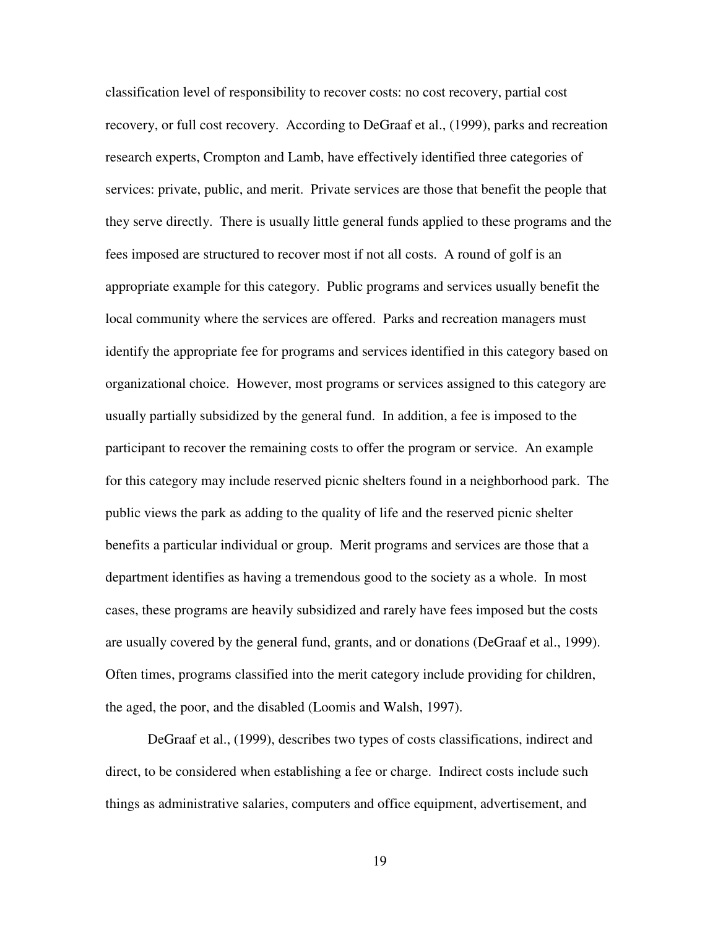classification level of responsibility to recover costs: no cost recovery, partial cost recovery, or full cost recovery. According to DeGraaf et al., (1999), parks and recreation research experts, Crompton and Lamb, have effectively identified three categories of services: private, public, and merit. Private services are those that benefit the people that they serve directly. There is usually little general funds applied to these programs and the fees imposed are structured to recover most if not all costs. A round of golf is an appropriate example for this category. Public programs and services usually benefit the local community where the services are offered. Parks and recreation managers must identify the appropriate fee for programs and services identified in this category based on organizational choice. However, most programs or services assigned to this category are usually partially subsidized by the general fund. In addition, a fee is imposed to the participant to recover the remaining costs to offer the program or service. An example for this category may include reserved picnic shelters found in a neighborhood park. The public views the park as adding to the quality of life and the reserved picnic shelter benefits a particular individual or group. Merit programs and services are those that a department identifies as having a tremendous good to the society as a whole. In most cases, these programs are heavily subsidized and rarely have fees imposed but the costs are usually covered by the general fund, grants, and or donations (DeGraaf et al., 1999). Often times, programs classified into the merit category include providing for children, the aged, the poor, and the disabled (Loomis and Walsh, 1997).

DeGraaf et al., (1999), describes two types of costs classifications, indirect and direct, to be considered when establishing a fee or charge. Indirect costs include such things as administrative salaries, computers and office equipment, advertisement, and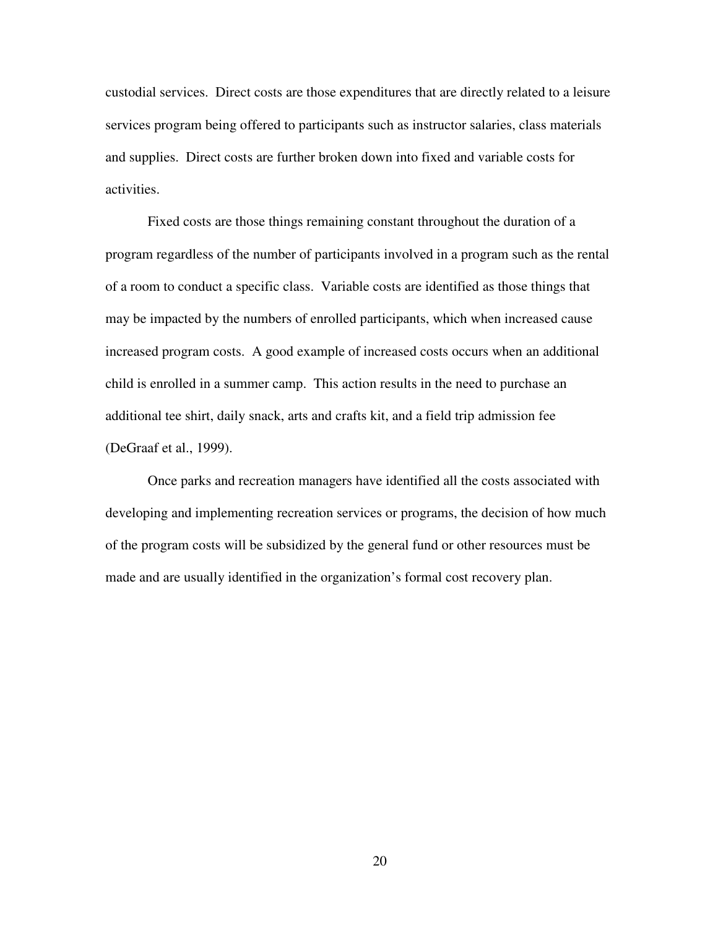custodial services. Direct costs are those expenditures that are directly related to a leisure services program being offered to participants such as instructor salaries, class materials and supplies. Direct costs are further broken down into fixed and variable costs for activities.

Fixed costs are those things remaining constant throughout the duration of a program regardless of the number of participants involved in a program such as the rental of a room to conduct a specific class. Variable costs are identified as those things that may be impacted by the numbers of enrolled participants, which when increased cause increased program costs. A good example of increased costs occurs when an additional child is enrolled in a summer camp. This action results in the need to purchase an additional tee shirt, daily snack, arts and crafts kit, and a field trip admission fee (DeGraaf et al., 1999).

Once parks and recreation managers have identified all the costs associated with developing and implementing recreation services or programs, the decision of how much of the program costs will be subsidized by the general fund or other resources must be made and are usually identified in the organization's formal cost recovery plan.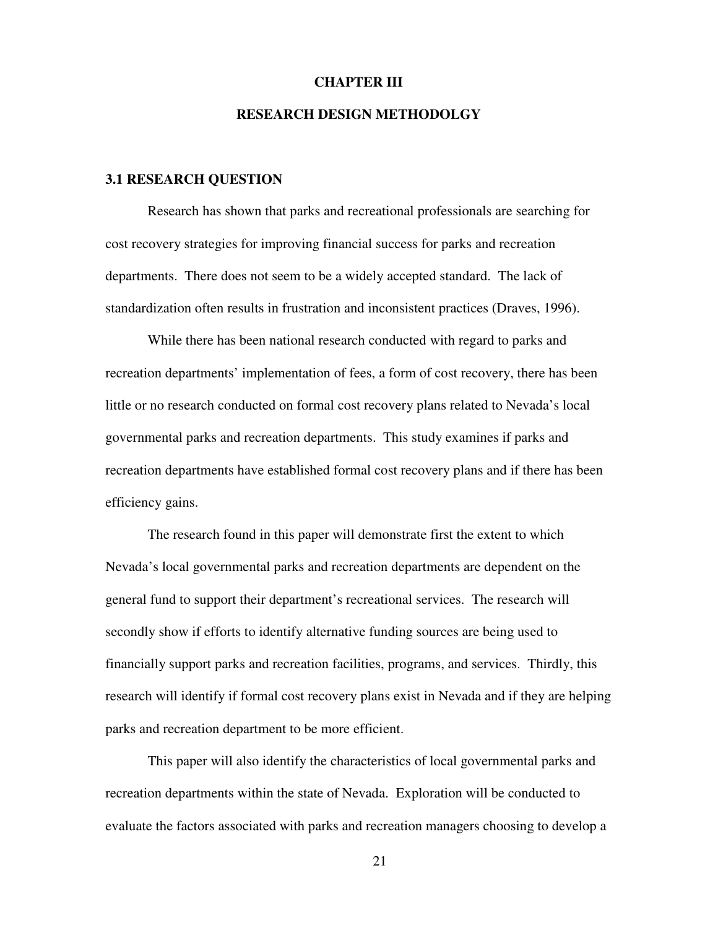#### **CHAPTER III**

#### **RESEARCH DESIGN METHODOLGY**

#### **3.1 RESEARCH QUESTION**

Research has shown that parks and recreational professionals are searching for cost recovery strategies for improving financial success for parks and recreation departments. There does not seem to be a widely accepted standard. The lack of standardization often results in frustration and inconsistent practices (Draves, 1996).

While there has been national research conducted with regard to parks and recreation departments' implementation of fees, a form of cost recovery, there has been little or no research conducted on formal cost recovery plans related to Nevada's local governmental parks and recreation departments. This study examines if parks and recreation departments have established formal cost recovery plans and if there has been efficiency gains.

The research found in this paper will demonstrate first the extent to which Nevada's local governmental parks and recreation departments are dependent on the general fund to support their department's recreational services. The research will secondly show if efforts to identify alternative funding sources are being used to financially support parks and recreation facilities, programs, and services. Thirdly, this research will identify if formal cost recovery plans exist in Nevada and if they are helping parks and recreation department to be more efficient.

This paper will also identify the characteristics of local governmental parks and recreation departments within the state of Nevada. Exploration will be conducted to evaluate the factors associated with parks and recreation managers choosing to develop a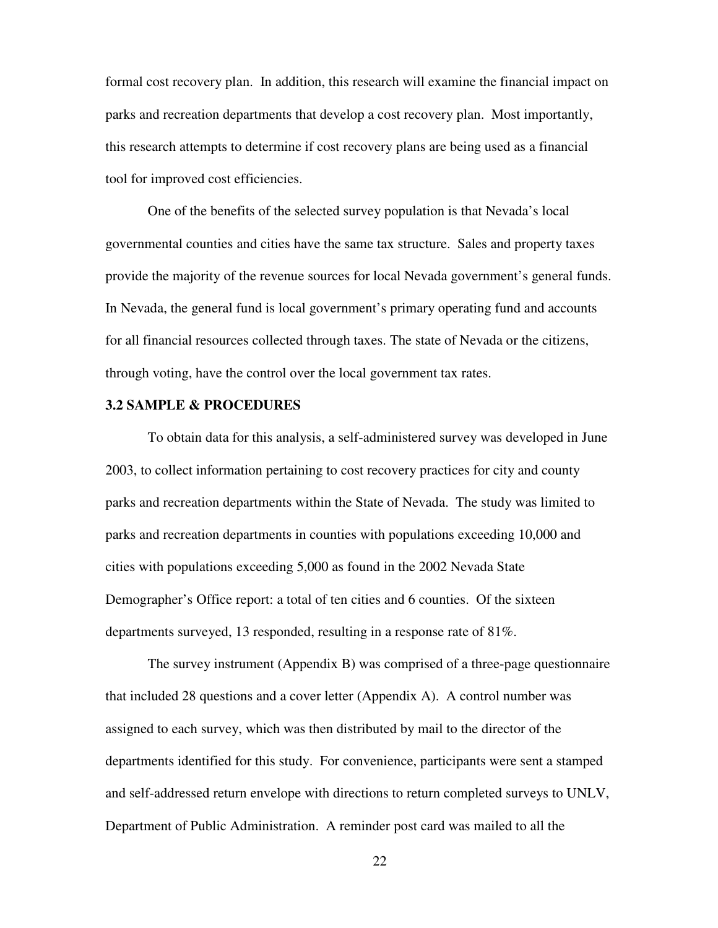formal cost recovery plan. In addition, this research will examine the financial impact on parks and recreation departments that develop a cost recovery plan. Most importantly, this research attempts to determine if cost recovery plans are being used as a financial tool for improved cost efficiencies.

One of the benefits of the selected survey population is that Nevada's local governmental counties and cities have the same tax structure. Sales and property taxes provide the majority of the revenue sources for local Nevada government's general funds. In Nevada, the general fund is local government's primary operating fund and accounts for all financial resources collected through taxes. The state of Nevada or the citizens, through voting, have the control over the local government tax rates.

#### **3.2 SAMPLE & PROCEDURES**

To obtain data for this analysis, a self-administered survey was developed in June 2003, to collect information pertaining to cost recovery practices for city and county parks and recreation departments within the State of Nevada. The study was limited to parks and recreation departments in counties with populations exceeding 10,000 and cities with populations exceeding 5,000 as found in the 2002 Nevada State Demographer's Office report: a total of ten cities and 6 counties. Of the sixteen departments surveyed, 13 responded, resulting in a response rate of 81%.

The survey instrument (Appendix B) was comprised of a three-page questionnaire that included 28 questions and a cover letter (Appendix A). A control number was assigned to each survey, which was then distributed by mail to the director of the departments identified for this study. For convenience, participants were sent a stamped and self-addressed return envelope with directions to return completed surveys to UNLV, Department of Public Administration. A reminder post card was mailed to all the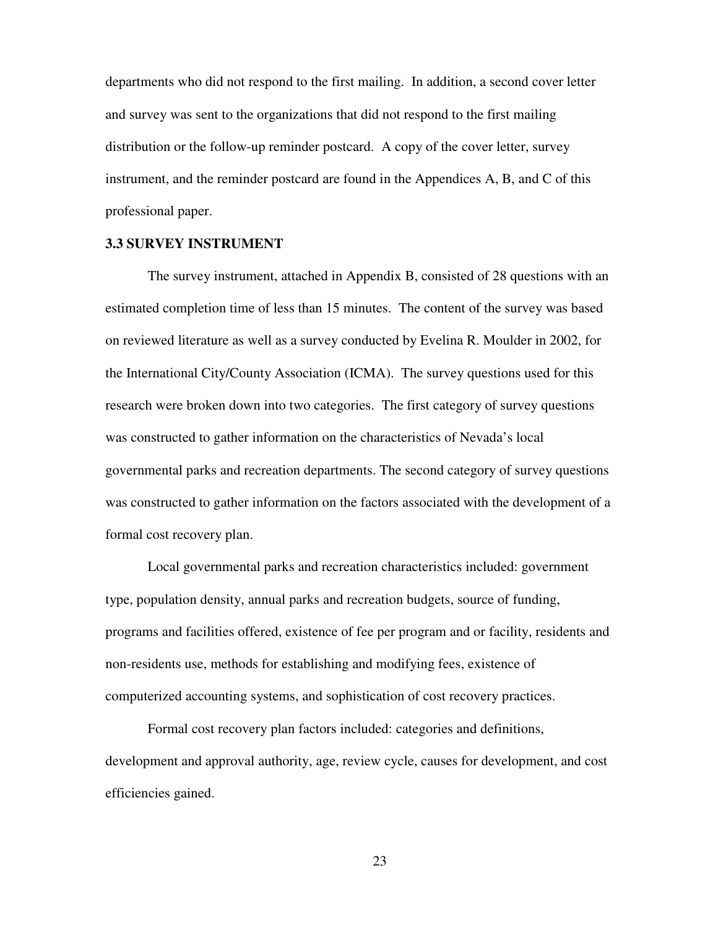departments who did not respond to the first mailing. In addition, a second cover letter and survey was sent to the organizations that did not respond to the first mailing distribution or the follow-up reminder postcard. A copy of the cover letter, survey instrument, and the reminder postcard are found in the Appendices A, B, and C of this professional paper.

#### **3.3 SURVEY INSTRUMENT**

The survey instrument, attached in Appendix B, consisted of 28 questions with an estimated completion time of less than 15 minutes. The content of the survey was based on reviewed literature as well as a survey conducted by Evelina R. Moulder in 2002, for the International City/County Association (ICMA). The survey questions used for this research were broken down into two categories. The first category of survey questions was constructed to gather information on the characteristics of Nevada's local governmental parks and recreation departments. The second category of survey questions was constructed to gather information on the factors associated with the development of a formal cost recovery plan.

Local governmental parks and recreation characteristics included: government type, population density, annual parks and recreation budgets, source of funding, programs and facilities offered, existence of fee per program and or facility, residents and non-residents use, methods for establishing and modifying fees, existence of computerized accounting systems, and sophistication of cost recovery practices.

Formal cost recovery plan factors included: categories and definitions, development and approval authority, age, review cycle, causes for development, and cost efficiencies gained.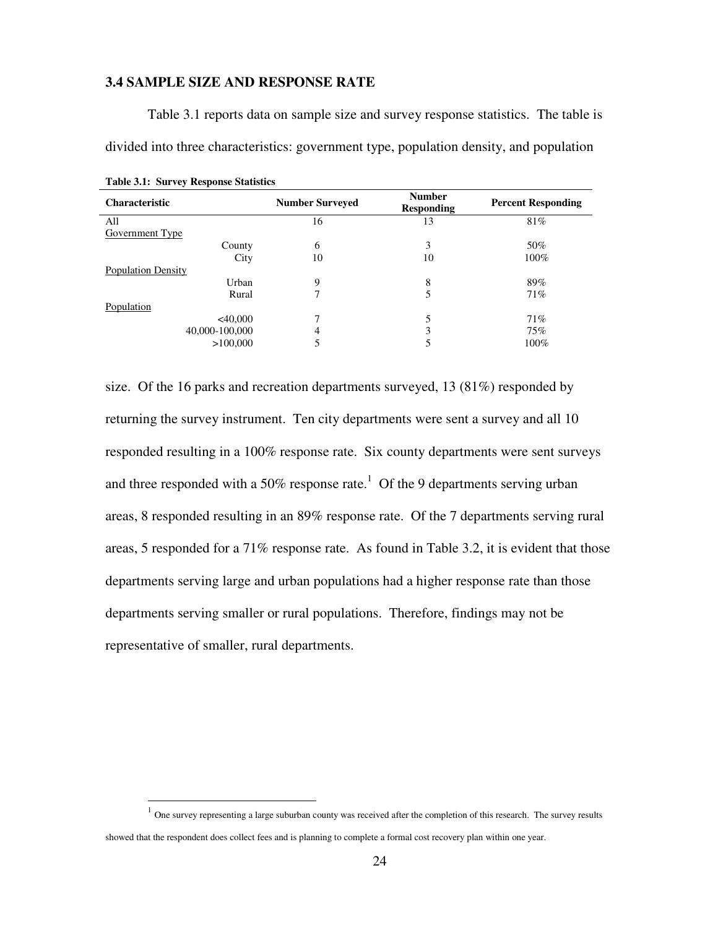#### **3.4 SAMPLE SIZE AND RESPONSE RATE**

divided into three characteristics: government type, population density, and population **Table 3.1: Survey Response Statistics Characteristic Characteristic Number Surveyed Responding Responding Percent Responding**  All  $16$  13 81% Government Type County 6  $\qquad \qquad 6$  3  $\qquad \qquad 50\%$ City 10  $10$   $10\%$ Population Density Urban 9 8 89% Rural  $7$  7 5 71% Population

> $<40,000$  7 5 71% 40,000-100,000 4 3 75% >100,000 5 100%

Table 3.1 reports data on sample size and survey response statistics. The table is

size. Of the 16 parks and recreation departments surveyed, 13 (81%) responded by returning the survey instrument. Ten city departments were sent a survey and all 10 responded resulting in a 100% response rate. Six county departments were sent surveys and three responded with a 50% response rate.<sup>1</sup> Of the 9 departments serving urban areas, 8 responded resulting in an 89% response rate. Of the 7 departments serving rural areas, 5 responded for a 71% response rate. As found in Table 3.2, it is evident that those departments serving large and urban populations had a higher response rate than those departments serving smaller or rural populations. Therefore, findings may not be representative of smaller, rural departments.

 $\overline{a}$ 

 $<sup>1</sup>$  One survey representing a large suburban county was received after the completion of this research. The survey results</sup> showed that the respondent does collect fees and is planning to complete a formal cost recovery plan within one year.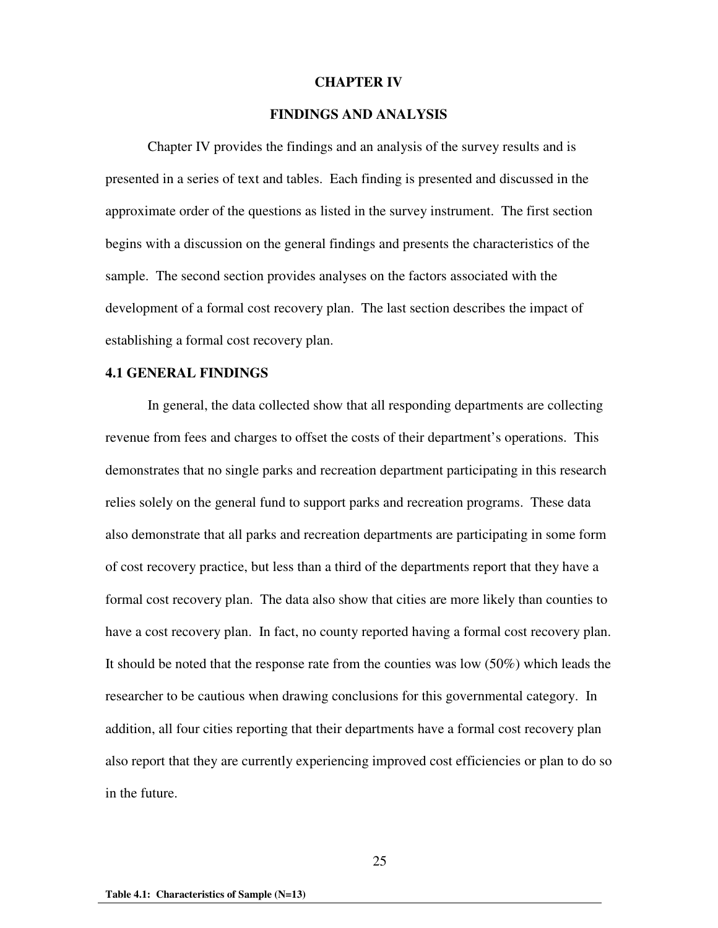#### **CHAPTER IV**

#### **FINDINGS AND ANALYSIS**

Chapter IV provides the findings and an analysis of the survey results and is presented in a series of text and tables. Each finding is presented and discussed in the approximate order of the questions as listed in the survey instrument. The first section begins with a discussion on the general findings and presents the characteristics of the sample. The second section provides analyses on the factors associated with the development of a formal cost recovery plan. The last section describes the impact of establishing a formal cost recovery plan.

#### **4.1 GENERAL FINDINGS**

In general, the data collected show that all responding departments are collecting revenue from fees and charges to offset the costs of their department's operations. This demonstrates that no single parks and recreation department participating in this research relies solely on the general fund to support parks and recreation programs. These data also demonstrate that all parks and recreation departments are participating in some form of cost recovery practice, but less than a third of the departments report that they have a formal cost recovery plan. The data also show that cities are more likely than counties to have a cost recovery plan. In fact, no county reported having a formal cost recovery plan. It should be noted that the response rate from the counties was low (50%) which leads the researcher to be cautious when drawing conclusions for this governmental category. In addition, all four cities reporting that their departments have a formal cost recovery plan also report that they are currently experiencing improved cost efficiencies or plan to do so in the future.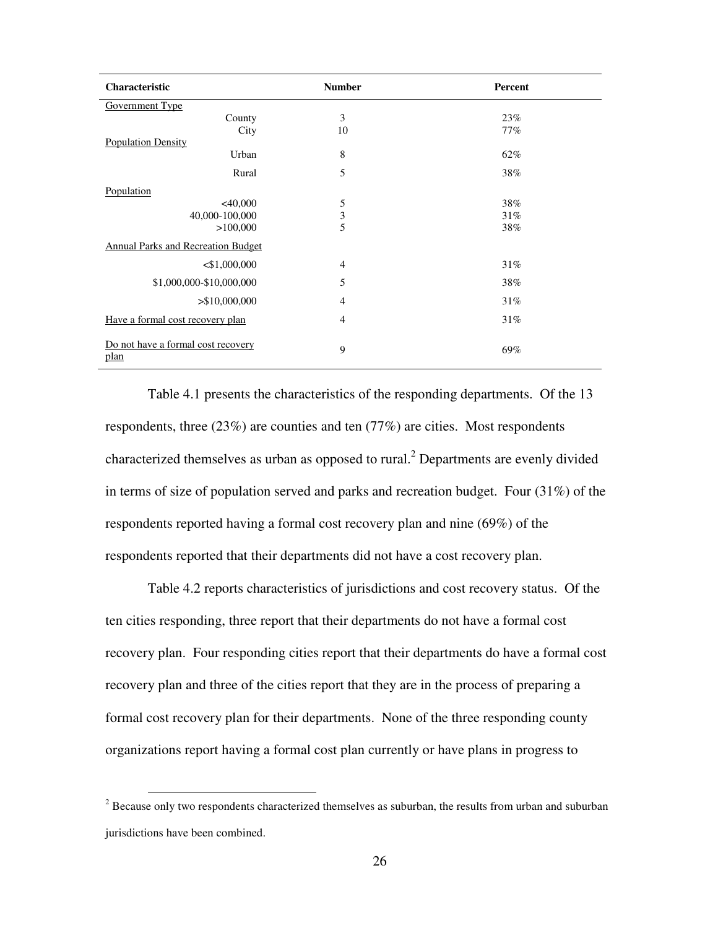| Characteristic                             | <b>Number</b>  | Percent |
|--------------------------------------------|----------------|---------|
| Government Type                            |                |         |
| County                                     | 3              | 23%     |
| City                                       | 10             | 77%     |
| <b>Population Density</b>                  |                |         |
| Urban                                      | 8              | 62%     |
| Rural                                      | 5              | 38%     |
| Population                                 |                |         |
| $<$ 40,000                                 | 5              | 38%     |
| 40,000-100,000                             | 3              | 31%     |
| >100,000                                   | 5              | 38%     |
| Annual Parks and Recreation Budget         |                |         |
| $<$ \$1,000,000                            | $\overline{4}$ | 31%     |
| \$1,000,000-\$10,000,000                   | 5              | 38%     |
| > \$10,000,000                             | $\overline{4}$ | 31%     |
| Have a formal cost recovery plan           | 4              | 31%     |
| Do not have a formal cost recovery<br>plan | 9              | 69%     |

Table 4.1 presents the characteristics of the responding departments. Of the 13 respondents, three (23%) are counties and ten (77%) are cities. Most respondents characterized themselves as urban as opposed to rural.<sup>2</sup> Departments are evenly divided in terms of size of population served and parks and recreation budget. Four (31%) of the respondents reported having a formal cost recovery plan and nine (69%) of the respondents reported that their departments did not have a cost recovery plan.

Table 4.2 reports characteristics of jurisdictions and cost recovery status. Of the ten cities responding, three report that their departments do not have a formal cost recovery plan. Four responding cities report that their departments do have a formal cost recovery plan and three of the cities report that they are in the process of preparing a formal cost recovery plan for their departments. None of the three responding county organizations report having a formal cost plan currently or have plans in progress to

<sup>&</sup>lt;sup>2</sup> Because only two respondents characterized themselves as suburban, the results from urban and suburban jurisdictions have been combined.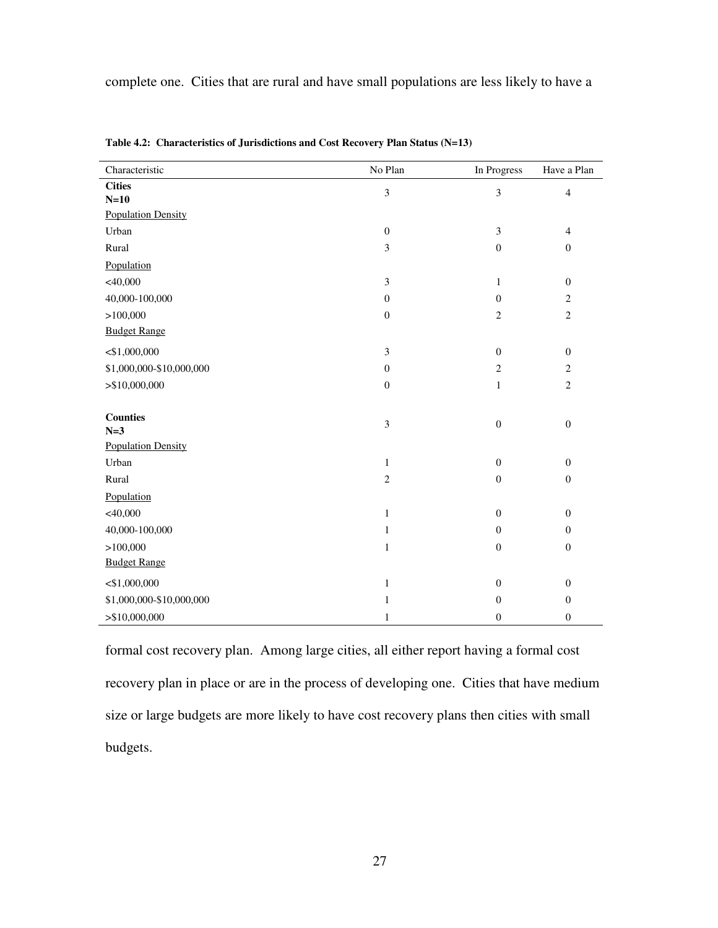complete one. Cities that are rural and have small populations are less likely to have a

| Characteristic            | No Plan          | In Progress      | Have a Plan      |
|---------------------------|------------------|------------------|------------------|
| <b>Cities</b>             | $\mathfrak{Z}$   | 3                | $\overline{4}$   |
| $N=10$                    |                  |                  |                  |
| <b>Population Density</b> |                  |                  |                  |
| Urban                     | $\boldsymbol{0}$ | $\mathfrak{Z}$   | $\overline{4}$   |
| Rural                     | $\mathfrak{Z}$   | $\boldsymbol{0}$ | $\overline{0}$   |
| Population                |                  |                  |                  |
| $<$ 40,000                | $\mathfrak{Z}$   | $\mathbf{1}$     | $\boldsymbol{0}$ |
| 40,000-100,000            | $\boldsymbol{0}$ | $\boldsymbol{0}$ | $\overline{c}$   |
| >100,000                  | $\boldsymbol{0}$ | $\mathbf{2}$     | $\overline{c}$   |
| <b>Budget Range</b>       |                  |                  |                  |
| $<$ \$1,000,000           | $\mathfrak{Z}$   | $\boldsymbol{0}$ | $\boldsymbol{0}$ |
| \$1,000,000-\$10,000,000  | $\boldsymbol{0}$ | $\sqrt{2}$       | $\overline{c}$   |
| > \$10,000,000            | $\boldsymbol{0}$ | $\mathbf{1}$     | $\overline{c}$   |
|                           |                  |                  |                  |
| <b>Counties</b>           | $\mathfrak{Z}$   | $\boldsymbol{0}$ | $\boldsymbol{0}$ |
| $N=3$                     |                  |                  |                  |
| <b>Population Density</b> |                  |                  |                  |
| Urban                     | $\mathbf{1}$     | $\boldsymbol{0}$ | $\boldsymbol{0}$ |
| Rural                     | $\overline{c}$   | $\mathbf{0}$     | $\boldsymbol{0}$ |
| Population                |                  |                  |                  |
| $<$ 40,000                | $\mathbf{1}$     | $\boldsymbol{0}$ | $\boldsymbol{0}$ |
| 40,000-100,000            | $\mathbf{1}$     | $\boldsymbol{0}$ | $\boldsymbol{0}$ |
| >100,000                  | $\mathbf{1}$     | $\boldsymbol{0}$ | $\overline{0}$   |
| <b>Budget Range</b>       |                  |                  |                  |
| $<$ \$1,000,000           | $\mathbf{1}$     | $\boldsymbol{0}$ | $\boldsymbol{0}$ |
| \$1,000,000-\$10,000,000  | $\mathbf{1}$     | $\boldsymbol{0}$ | $\boldsymbol{0}$ |
| > \$10,000,000            | $\mathbf{1}$     | $\boldsymbol{0}$ | $\boldsymbol{0}$ |

**Table 4.2: Characteristics of Jurisdictions and Cost Recovery Plan Status (N=13)** 

formal cost recovery plan. Among large cities, all either report having a formal cost recovery plan in place or are in the process of developing one. Cities that have medium size or large budgets are more likely to have cost recovery plans then cities with small budgets.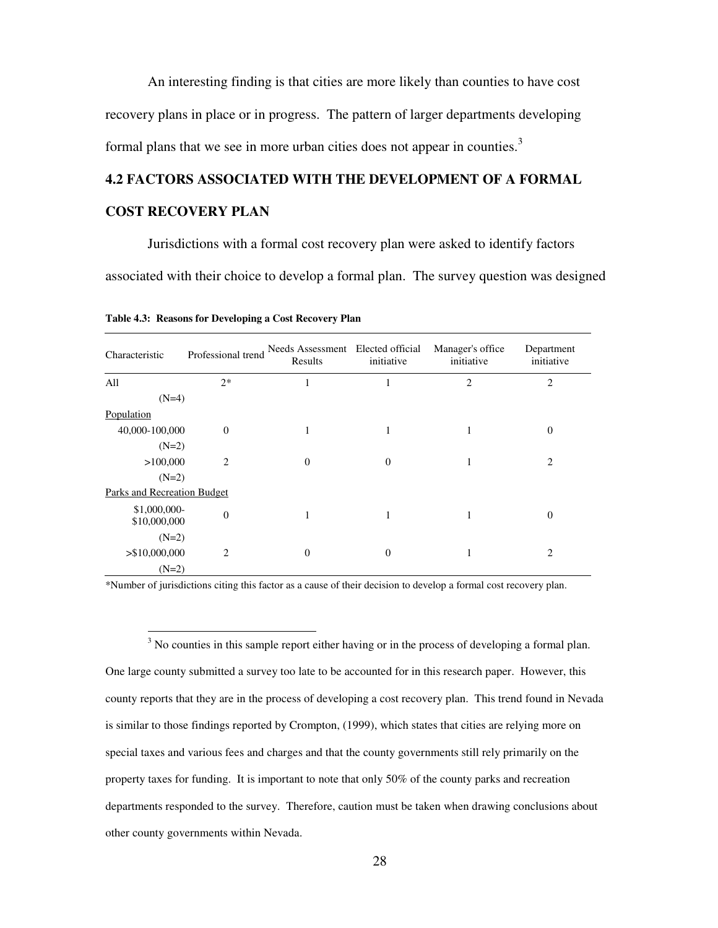An interesting finding is that cities are more likely than counties to have cost recovery plans in place or in progress. The pattern of larger departments developing formal plans that we see in more urban cities does not appear in counties.<sup>3</sup>

#### **4.2 FACTORS ASSOCIATED WITH THE DEVELOPMENT OF A FORMAL**

#### **COST RECOVERY PLAN**

 $\overline{a}$ 

Jurisdictions with a formal cost recovery plan were asked to identify factors associated with their choice to develop a formal plan. The survey question was designed

| Characteristic                     | Professional trend | Needs Assessment Elected official<br>Results | initiative | Manager's office<br>initiative | Department<br>initiative |
|------------------------------------|--------------------|----------------------------------------------|------------|--------------------------------|--------------------------|
| All                                | $2*$               | л.                                           | 1          | $\overline{c}$                 | $\overline{2}$           |
| $(N=4)$                            |                    |                                              |            |                                |                          |
| Population                         |                    |                                              |            |                                |                          |
| 40,000-100,000                     | $\mathbf{0}$       | 1                                            | 1          | 1                              | $\boldsymbol{0}$         |
| $(N=2)$                            |                    |                                              |            |                                |                          |
| >100,000                           | $\overline{2}$     | $\theta$                                     | $\theta$   |                                | $\overline{2}$           |
| $(N=2)$                            |                    |                                              |            |                                |                          |
| <b>Parks and Recreation Budget</b> |                    |                                              |            |                                |                          |
| \$1,000,000-<br>\$10,000,000       | $\boldsymbol{0}$   | 1                                            | 1          | 1                              | $\boldsymbol{0}$         |
| $(N=2)$                            |                    |                                              |            |                                |                          |
| > \$10,000,000                     | 2                  | $\theta$                                     | $\theta$   | 1                              | $\overline{2}$           |
| $(N=2)$                            |                    |                                              |            |                                |                          |

**Table 4.3: Reasons for Developing a Cost Recovery Plan** 

\*Number of jurisdictions citing this factor as a cause of their decision to develop a formal cost recovery plan.

 $3$  No counties in this sample report either having or in the process of developing a formal plan. One large county submitted a survey too late to be accounted for in this research paper. However, this county reports that they are in the process of developing a cost recovery plan. This trend found in Nevada is similar to those findings reported by Crompton, (1999), which states that cities are relying more on special taxes and various fees and charges and that the county governments still rely primarily on the property taxes for funding. It is important to note that only 50% of the county parks and recreation departments responded to the survey. Therefore, caution must be taken when drawing conclusions about other county governments within Nevada.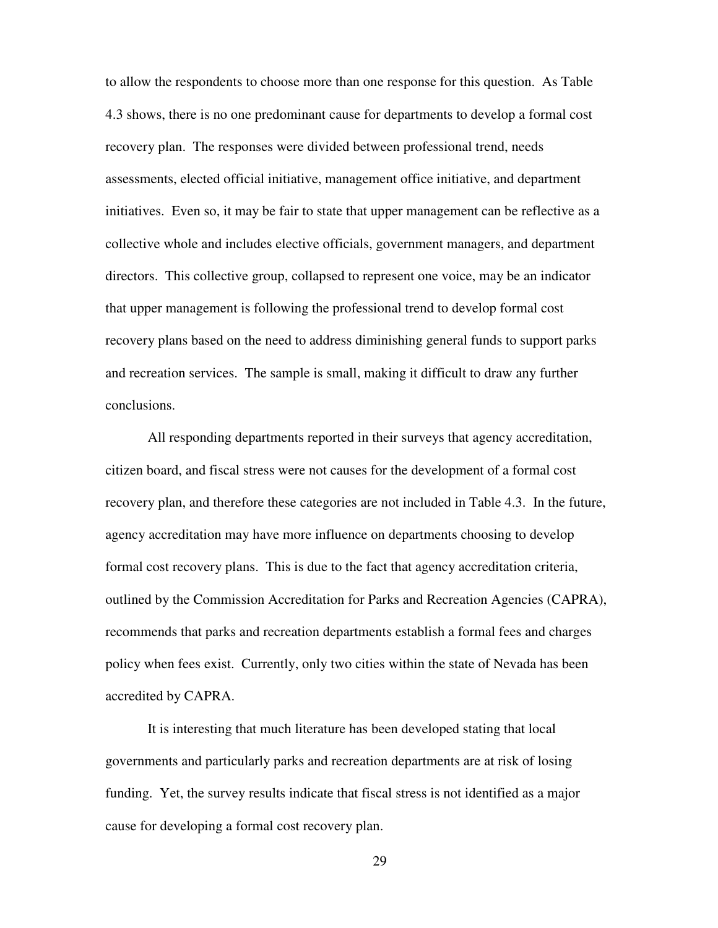to allow the respondents to choose more than one response for this question. As Table 4.3 shows, there is no one predominant cause for departments to develop a formal cost recovery plan. The responses were divided between professional trend, needs assessments, elected official initiative, management office initiative, and department initiatives. Even so, it may be fair to state that upper management can be reflective as a collective whole and includes elective officials, government managers, and department directors. This collective group, collapsed to represent one voice, may be an indicator that upper management is following the professional trend to develop formal cost recovery plans based on the need to address diminishing general funds to support parks and recreation services. The sample is small, making it difficult to draw any further conclusions.

All responding departments reported in their surveys that agency accreditation, citizen board, and fiscal stress were not causes for the development of a formal cost recovery plan, and therefore these categories are not included in Table 4.3. In the future, agency accreditation may have more influence on departments choosing to develop formal cost recovery plans. This is due to the fact that agency accreditation criteria, outlined by the Commission Accreditation for Parks and Recreation Agencies (CAPRA), recommends that parks and recreation departments establish a formal fees and charges policy when fees exist. Currently, only two cities within the state of Nevada has been accredited by CAPRA.

It is interesting that much literature has been developed stating that local governments and particularly parks and recreation departments are at risk of losing funding. Yet, the survey results indicate that fiscal stress is not identified as a major cause for developing a formal cost recovery plan.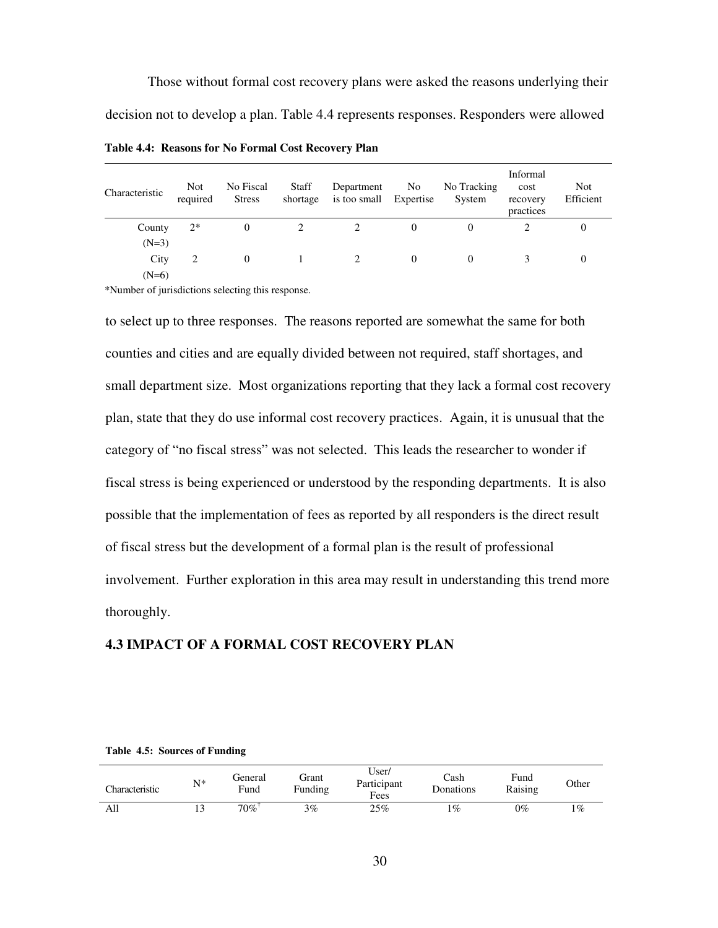Those without formal cost recovery plans were asked the reasons underlying their decision not to develop a plan. Table 4.4 represents responses. Responders were allowed

| Characteristic | <b>Not</b><br>required | No Fiscal<br><b>Stress</b> | <b>Staff</b><br>shortage | Department<br>is too small Expertise | No       | No Tracking<br>System | Informal<br>cost<br>recovery<br>practices | <b>Not</b><br>Efficient |
|----------------|------------------------|----------------------------|--------------------------|--------------------------------------|----------|-----------------------|-------------------------------------------|-------------------------|
| County         | $2*$                   | $\Omega$                   |                          |                                      | $\theta$ | 0                     |                                           | 0                       |
| $(N=3)$        |                        |                            |                          |                                      |          |                       |                                           |                         |
| City           |                        | $\Omega$                   |                          |                                      |          | 0                     |                                           | $\theta$                |
| $(N=6)$        |                        |                            |                          |                                      |          |                       |                                           |                         |

**Table 4.4: Reasons for No Formal Cost Recovery Plan** 

\*Number of jurisdictions selecting this response.

to select up to three responses. The reasons reported are somewhat the same for both counties and cities and are equally divided between not required, staff shortages, and small department size. Most organizations reporting that they lack a formal cost recovery plan, state that they do use informal cost recovery practices. Again, it is unusual that the category of "no fiscal stress" was not selected. This leads the researcher to wonder if fiscal stress is being experienced or understood by the responding departments. It is also possible that the implementation of fees as reported by all responders is the direct result of fiscal stress but the development of a formal plan is the result of professional involvement. Further exploration in this area may result in understanding this trend more thoroughly.

#### **4.3 IMPACT OF A FORMAL COST RECOVERY PLAN**

| Characteristic | N* | General<br>Fund | Frant<br>Funding | User/<br>Participant<br>Fees | ∴ash<br>Donations | Fund<br>Raising | Other |
|----------------|----|-----------------|------------------|------------------------------|-------------------|-----------------|-------|
| All            |    | 70%             | $3\%$            | 25%                          | $\mathcal{G}_0$   | 0%              | 1%    |

#### **Table 4.5: Sources of Funding**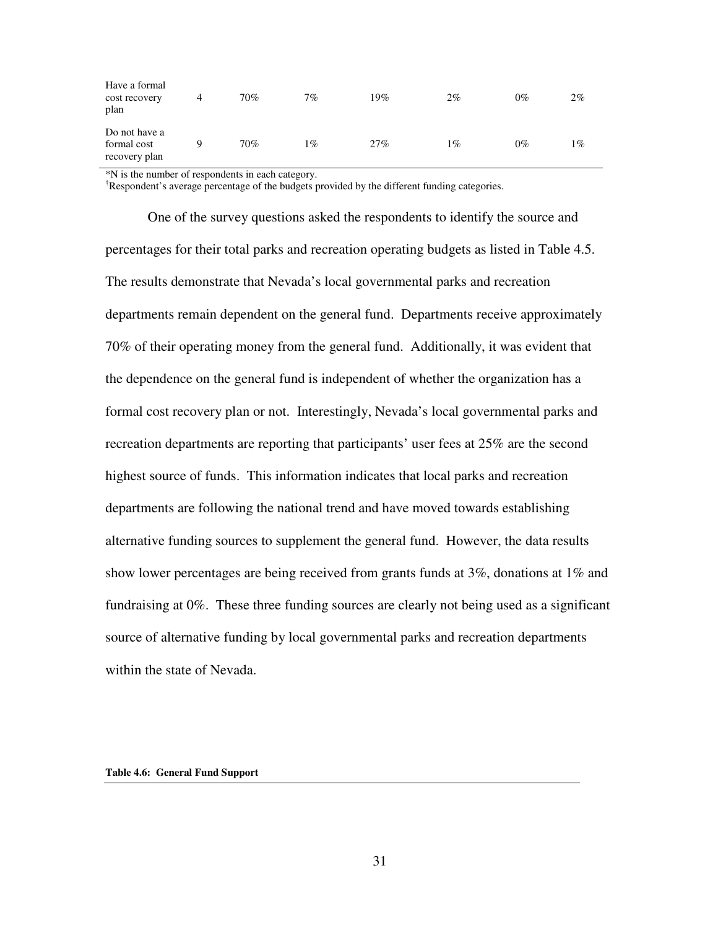| Have a formal<br>cost recovery<br>plan        | 70% | 7% | 19% | $2\%$ | $0\%$ | $2\%$ |
|-----------------------------------------------|-----|----|-----|-------|-------|-------|
| Do not have a<br>formal cost<br>recovery plan | 70% | 1% | 27% | 1%    | 0%    | 1%    |

\*N is the number of respondents in each category.

†Respondent's average percentage of the budgets provided by the different funding categories.

One of the survey questions asked the respondents to identify the source and percentages for their total parks and recreation operating budgets as listed in Table 4.5. The results demonstrate that Nevada's local governmental parks and recreation departments remain dependent on the general fund. Departments receive approximately 70% of their operating money from the general fund. Additionally, it was evident that the dependence on the general fund is independent of whether the organization has a formal cost recovery plan or not. Interestingly, Nevada's local governmental parks and recreation departments are reporting that participants' user fees at 25% are the second highest source of funds. This information indicates that local parks and recreation departments are following the national trend and have moved towards establishing alternative funding sources to supplement the general fund. However, the data results show lower percentages are being received from grants funds at 3%, donations at 1% and fundraising at 0%. These three funding sources are clearly not being used as a significant source of alternative funding by local governmental parks and recreation departments within the state of Nevada.

#### **Table 4.6: General Fund Support**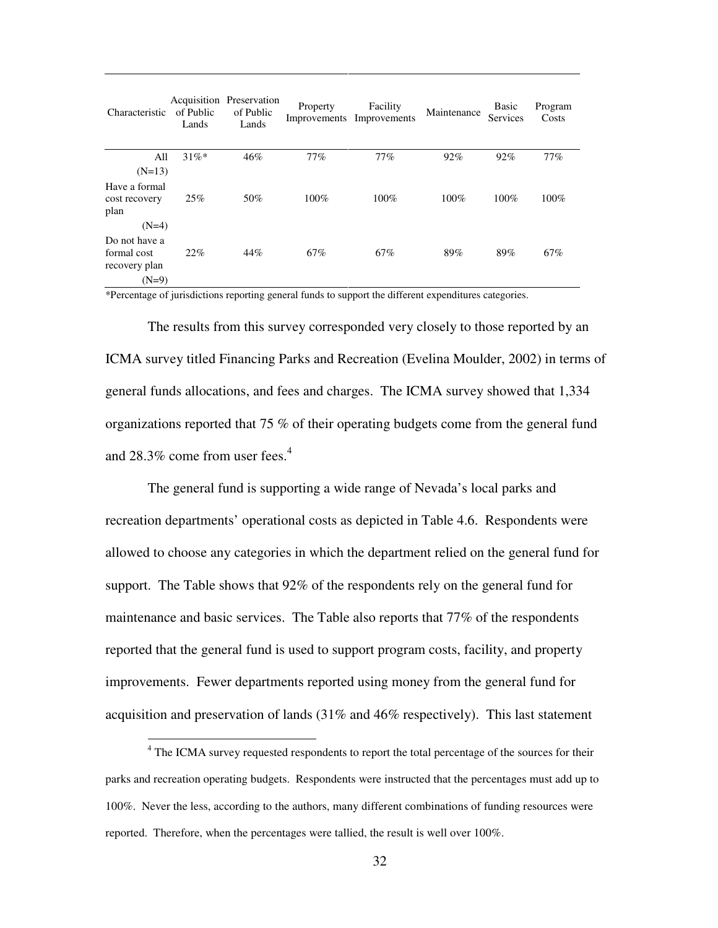| Characteristic                                                      | of Public<br>Lands | Acquisition Preservation<br>of Public<br>Lands | Property | Facility<br>Improvements Improvements | Maintenance | <b>Basic</b><br>Services | Program<br>Costs |
|---------------------------------------------------------------------|--------------------|------------------------------------------------|----------|---------------------------------------|-------------|--------------------------|------------------|
| All<br>$(N=13)$                                                     | $31\%*$            | 46%                                            | 77%      | 77%                                   | 92%         | 92%                      | 77%              |
| Have a formal<br>cost recovery<br>plan                              | 25%                | 50%                                            | 100%     | $100\%$                               | 100%        | 100%                     | 100%             |
| $(N=4)$<br>Do not have a<br>formal cost<br>recovery plan<br>$(N=9)$ | 22%                | 44%                                            | 67%      | 67%                                   | 89%         | 89%                      | 67%              |

\*Percentage of jurisdictions reporting general funds to support the different expenditures categories.

The results from this survey corresponded very closely to those reported by an ICMA survey titled Financing Parks and Recreation (Evelina Moulder, 2002) in terms of general funds allocations, and fees and charges. The ICMA survey showed that 1,334 organizations reported that 75 % of their operating budgets come from the general fund and  $28.3\%$  come from user fees.<sup>4</sup>

The general fund is supporting a wide range of Nevada's local parks and recreation departments' operational costs as depicted in Table 4.6. Respondents were allowed to choose any categories in which the department relied on the general fund for support. The Table shows that 92% of the respondents rely on the general fund for maintenance and basic services. The Table also reports that 77% of the respondents reported that the general fund is used to support program costs, facility, and property improvements. Fewer departments reported using money from the general fund for acquisition and preservation of lands (31% and 46% respectively). This last statement

 $\overline{a}$ 

<sup>&</sup>lt;sup>4</sup> The ICMA survey requested respondents to report the total percentage of the sources for their parks and recreation operating budgets. Respondents were instructed that the percentages must add up to 100%. Never the less, according to the authors, many different combinations of funding resources were reported. Therefore, when the percentages were tallied, the result is well over 100%.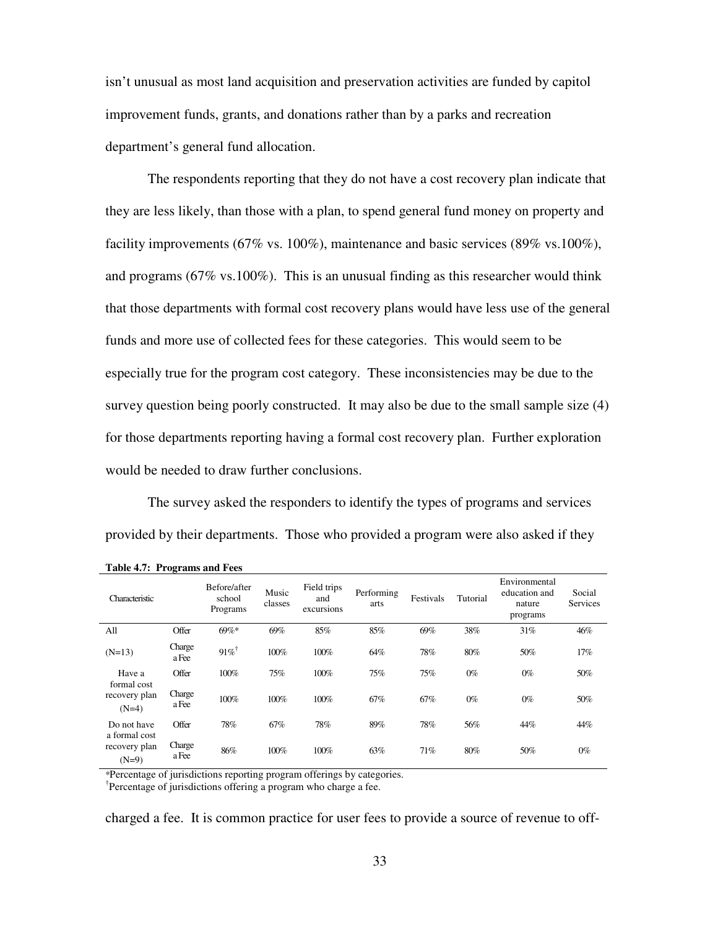isn't unusual as most land acquisition and preservation activities are funded by capitol improvement funds, grants, and donations rather than by a parks and recreation department's general fund allocation.

The respondents reporting that they do not have a cost recovery plan indicate that they are less likely, than those with a plan, to spend general fund money on property and facility improvements (67% vs. 100%), maintenance and basic services (89% vs.100%), and programs (67% vs.100%). This is an unusual finding as this researcher would think that those departments with formal cost recovery plans would have less use of the general funds and more use of collected fees for these categories. This would seem to be especially true for the program cost category. These inconsistencies may be due to the survey question being poorly constructed. It may also be due to the small sample size (4) for those departments reporting having a formal cost recovery plan. Further exploration would be needed to draw further conclusions.

The survey asked the responders to identify the types of programs and services provided by their departments. Those who provided a program were also asked if they

| Characteristic                            |                 | Before/after<br>school<br>Programs | Music<br>classes | Field trips<br>and<br>excursions | Performing<br>arts | Festivals | Tutorial | Environmental<br>education and<br>nature<br>programs | Social<br><b>Services</b> |
|-------------------------------------------|-----------------|------------------------------------|------------------|----------------------------------|--------------------|-----------|----------|------------------------------------------------------|---------------------------|
| All                                       | Offer           | $69\%*$                            | 69%              | 85%                              | 85%                | 69%       | 38%      | 31%                                                  | 46%                       |
| $(N=13)$                                  | Charge<br>a Fee | $91\%$                             | 100%             | 100%                             | 64%                | 78%       | 80%      | 50%                                                  | 17%                       |
| Have a                                    | Offer           | 100%                               | 75%              | 100%                             | 75%                | 75%       | $0\%$    | $0\%$                                                | 50%                       |
| formal cost<br>recovery plan<br>$(N=4)$   | Charge<br>a Fee | 100%                               | 100%             | 100%                             | 67%                | 67%       | $0\%$    | $0\%$                                                | 50%                       |
| Do not have                               | Offer           | 78%                                | 67%              | 78%                              | 89%                | 78%       | 56%      | 44%                                                  | 44%                       |
| a formal cost<br>recovery plan<br>$(N=9)$ | Charge<br>a Fee | 86%                                | 100%             | 100%                             | 63%                | 71%       | 80%      | 50%                                                  | $0\%$                     |

**Table 4.7: Programs and Fees** 

\*Percentage of jurisdictions reporting program offerings by categories.

† Percentage of jurisdictions offering a program who charge a fee.

charged a fee. It is common practice for user fees to provide a source of revenue to off-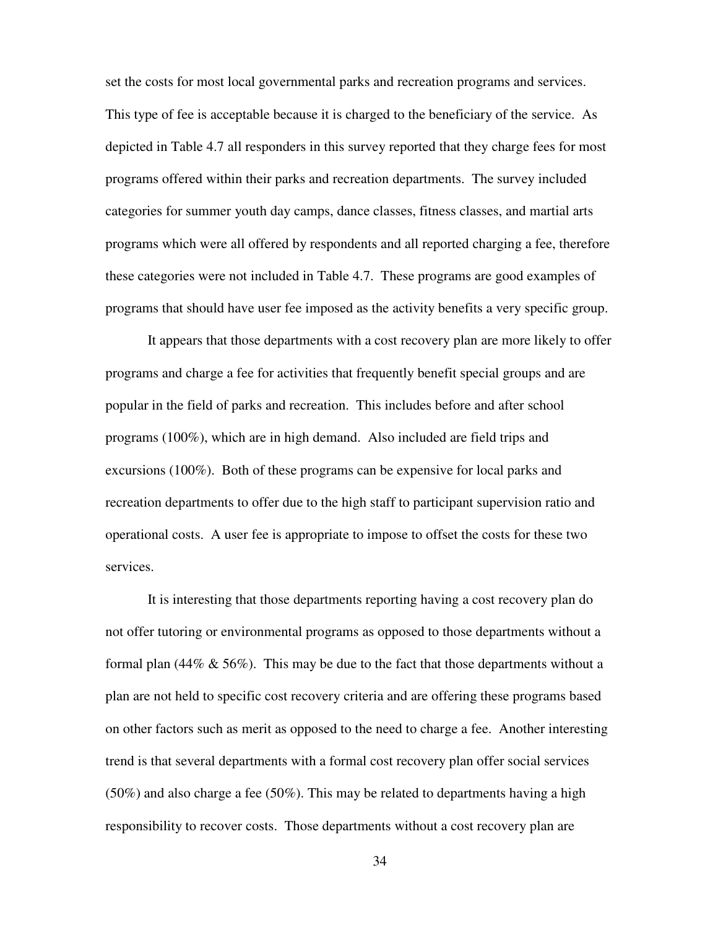set the costs for most local governmental parks and recreation programs and services. This type of fee is acceptable because it is charged to the beneficiary of the service. As depicted in Table 4.7 all responders in this survey reported that they charge fees for most programs offered within their parks and recreation departments. The survey included categories for summer youth day camps, dance classes, fitness classes, and martial arts programs which were all offered by respondents and all reported charging a fee, therefore these categories were not included in Table 4.7. These programs are good examples of programs that should have user fee imposed as the activity benefits a very specific group.

It appears that those departments with a cost recovery plan are more likely to offer programs and charge a fee for activities that frequently benefit special groups and are popular in the field of parks and recreation. This includes before and after school programs (100%), which are in high demand. Also included are field trips and excursions (100%). Both of these programs can be expensive for local parks and recreation departments to offer due to the high staff to participant supervision ratio and operational costs. A user fee is appropriate to impose to offset the costs for these two services.

It is interesting that those departments reporting having a cost recovery plan do not offer tutoring or environmental programs as opposed to those departments without a formal plan (44%  $\&$  56%). This may be due to the fact that those departments without a plan are not held to specific cost recovery criteria and are offering these programs based on other factors such as merit as opposed to the need to charge a fee. Another interesting trend is that several departments with a formal cost recovery plan offer social services (50%) and also charge a fee (50%). This may be related to departments having a high responsibility to recover costs. Those departments without a cost recovery plan are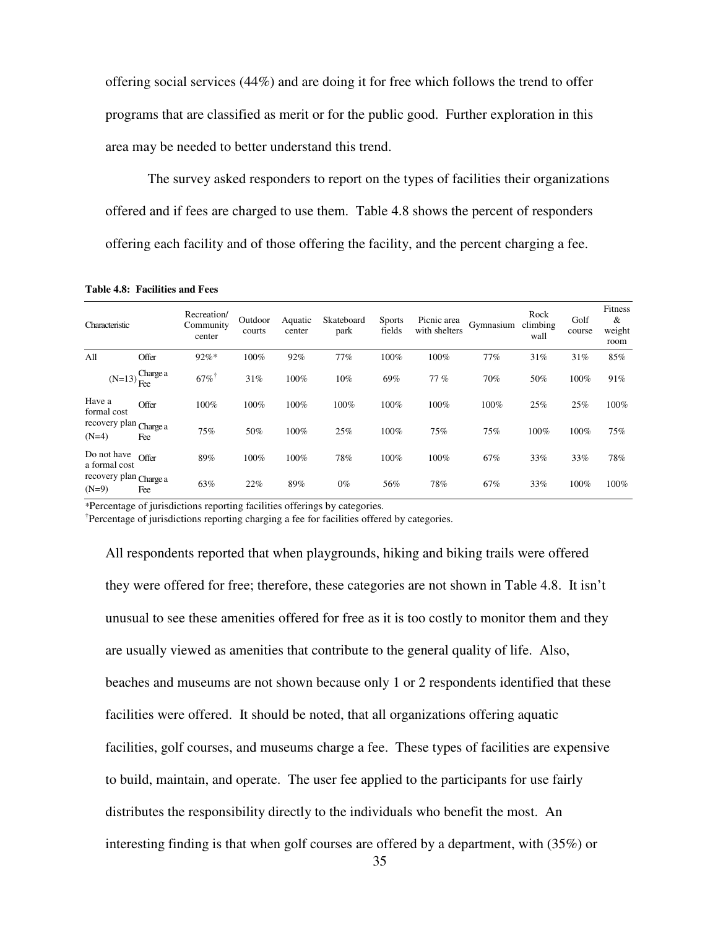offering social services (44%) and are doing it for free which follows the trend to offer programs that are classified as merit or for the public good. Further exploration in this area may be needed to better understand this trend.

The survey asked responders to report on the types of facilities their organizations offered and if fees are charged to use them. Table 4.8 shows the percent of responders offering each facility and of those offering the facility, and the percent charging a fee.

**Table 4.8: Facilities and Fees** 

| Characteristic                    |                 | Recreation/<br>Community<br>center | Outdoor<br>courts | Aquatic<br>center | Skateboard<br>park | <b>Sports</b><br>fields | Picnic area<br>with shelters | Gymnasium | Rock<br>climbing<br>wall | Golf<br>course | Fitness<br>$\&$<br>weight<br>room |
|-----------------------------------|-----------------|------------------------------------|-------------------|-------------------|--------------------|-------------------------|------------------------------|-----------|--------------------------|----------------|-----------------------------------|
| A11                               | Offer           | $92%$ *                            | 100%              | 92%               | 77%                | 100%                    | 100%                         | 77%       | 31%                      | 31%            | 85%                               |
| $(N=13)$                          | Charge a<br>Fee | $67\%$                             | 31%               | 100%              | 10%                | 69%                     | 77%                          | 70%       | 50%                      | 100%           | 91%                               |
| Have a<br>formal cost             | Offer           | 100%                               | 100%              | 100%              | 100%               | 100%                    | 100%                         | 100%      | 25%                      | 25%            | 100%                              |
| recovery plan Charge a<br>$(N=4)$ | Fee             | 75%                                | 50%               | 100%              | 25%                | 100%                    | 75%                          | 75%       | 100%                     | 100%           | 75%                               |
| Do not have<br>a formal cost      | Offer           | 89%                                | 100%              | 100%              | 78%                | 100%                    | 100%                         | 67%       | 33%                      | 33%            | 78%                               |
| recovery plan Charge a<br>$(N=9)$ | Fee             | 63%                                | 22%               | 89%               | $0\%$              | 56%                     | 78%                          | 67%       | 33%                      | 100%           | 100%                              |

\*Percentage of jurisdictions reporting facilities offerings by categories.

† Percentage of jurisdictions reporting charging a fee for facilities offered by categories.

All respondents reported that when playgrounds, hiking and biking trails were offered they were offered for free; therefore, these categories are not shown in Table 4.8. It isn't unusual to see these amenities offered for free as it is too costly to monitor them and they are usually viewed as amenities that contribute to the general quality of life. Also, beaches and museums are not shown because only 1 or 2 respondents identified that these facilities were offered. It should be noted, that all organizations offering aquatic facilities, golf courses, and museums charge a fee. These types of facilities are expensive to build, maintain, and operate. The user fee applied to the participants for use fairly distributes the responsibility directly to the individuals who benefit the most. An interesting finding is that when golf courses are offered by a department, with (35%) or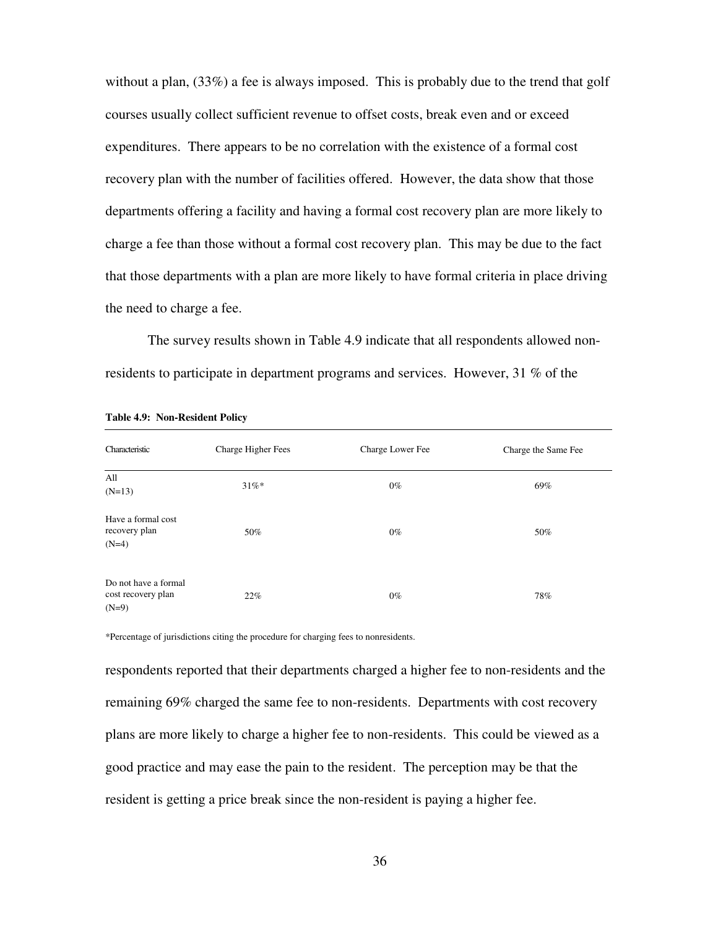without a plan,  $(33\%)$  a fee is always imposed. This is probably due to the trend that golf courses usually collect sufficient revenue to offset costs, break even and or exceed expenditures. There appears to be no correlation with the existence of a formal cost recovery plan with the number of facilities offered. However, the data show that those departments offering a facility and having a formal cost recovery plan are more likely to charge a fee than those without a formal cost recovery plan. This may be due to the fact that those departments with a plan are more likely to have formal criteria in place driving the need to charge a fee.

The survey results shown in Table 4.9 indicate that all respondents allowed nonresidents to participate in department programs and services. However, 31 % of the

| Characteristic                                        | Charge Higher Fees | Charge Lower Fee | Charge the Same Fee |
|-------------------------------------------------------|--------------------|------------------|---------------------|
| All<br>$(N=13)$                                       | $31\%$ *           | $0\%$            | 69%                 |
| Have a formal cost<br>recovery plan<br>$(N=4)$        | 50%                | $0\%$            | 50%                 |
| Do not have a formal<br>cost recovery plan<br>$(N=9)$ | 22%                | $0\%$            | 78%                 |

**Table 4.9: Non-Resident Policy** 

\*Percentage of jurisdictions citing the procedure for charging fees to nonresidents.

respondents reported that their departments charged a higher fee to non-residents and the remaining 69% charged the same fee to non-residents. Departments with cost recovery plans are more likely to charge a higher fee to non-residents. This could be viewed as a good practice and may ease the pain to the resident. The perception may be that the resident is getting a price break since the non-resident is paying a higher fee.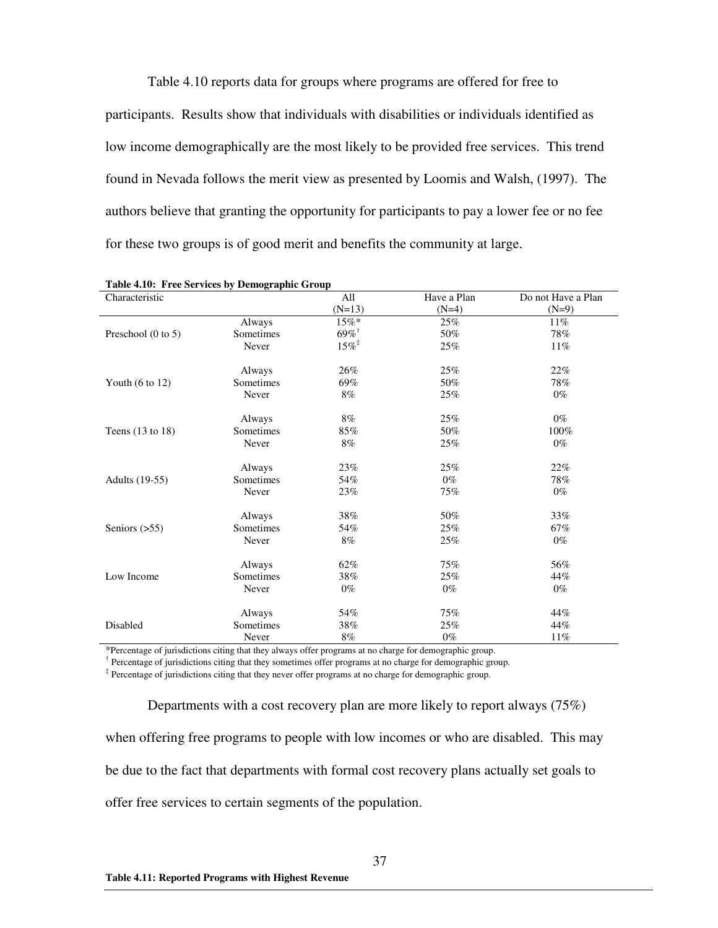Table 4.10 reports data for groups where programs are offered for free to participants. Results show that individuals with disabilities or individuals identified as low income demographically are the most likely to be provided free services. This trend found in Nevada follows the merit view as presented by Loomis and Walsh, (1997). The authors believe that granting the opportunity for participants to pay a lower fee or no fee for these two groups is of good merit and benefits the community at large.

| Characteristic                |           | All                 | Have a Plan | Do not Have a Plan |
|-------------------------------|-----------|---------------------|-------------|--------------------|
|                               |           | $(N=13)$            | $(N=4)$     | $(N=9)$            |
|                               | Always    | $15\%*$             | 25%         | 11%                |
| Preschool $(0 \text{ to } 5)$ | Sometimes | $69\%$ <sup>†</sup> | 50%         | 78%                |
|                               | Never     | $15\%$ <sup>‡</sup> | 25%         | 11%                |
|                               | Always    | 26%                 | 25%         | 22%                |
| Youth $(6 \text{ to } 12)$    | Sometimes | 69%                 | 50%         | 78%                |
|                               | Never     | 8%                  | 25%         | $0\%$              |
|                               | Always    | $8\%$               | 25%         | $0\%$              |
| Teens $(13 \text{ to } 18)$   | Sometimes | 85%                 | 50%         | 100%               |
|                               | Never     | $8\%$               | 25%         | $0\%$              |
|                               | Always    | 23%                 | 25%         | 22%                |
| Adults (19-55)                | Sometimes | 54%                 | $0\%$       | 78%                |
|                               | Never     | 23%                 | 75%         | $0\%$              |
|                               | Always    | 38%                 | 50%         | 33%                |
| Seniors $(>55)$               | Sometimes | 54%                 | 25%         | 67%                |
|                               | Never     | $8\%$               | 25%         | $0\%$              |
|                               | Always    | 62%                 | 75%         | 56%                |
| Low Income                    | Sometimes | 38%                 | 25%         | 44%                |
|                               | Never     | $0\%$               | $0\%$       | $0\%$              |
|                               | Always    | 54%                 | 75%         | 44%                |
| Disabled                      | Sometimes | 38%                 | 25%         | 44%                |
|                               | Never     | 8%                  | $0\%$       | 11%                |

| Table 4.10: Free Services by Demographic Group |
|------------------------------------------------|
|------------------------------------------------|

\*Percentage of jurisdictions citing that they always offer programs at no charge for demographic group.

<sup>†</sup> Percentage of jurisdictions citing that they sometimes offer programs at no charge for demographic group.

‡ Percentage of jurisdictions citing that they never offer programs at no charge for demographic group.

Departments with a cost recovery plan are more likely to report always (75%) when offering free programs to people with low incomes or who are disabled. This may be due to the fact that departments with formal cost recovery plans actually set goals to offer free services to certain segments of the population.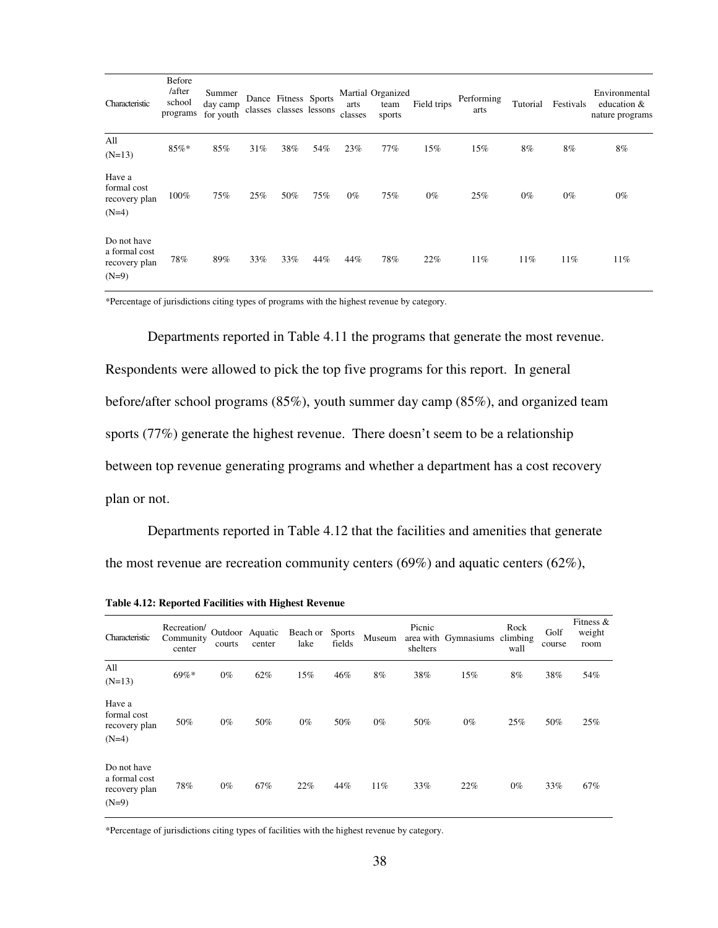| Characteristic                                           | Before<br>/after<br>school<br>programs | Summer<br>day camp<br>for youth |     | Dance Fitness Sports<br>classes classes lessons |     | arts<br>classes | Martial Organized<br>team<br>sports | Field trips | Performing<br>arts | Tutorial | Festivals | Environmental<br>education &<br>nature programs |
|----------------------------------------------------------|----------------------------------------|---------------------------------|-----|-------------------------------------------------|-----|-----------------|-------------------------------------|-------------|--------------------|----------|-----------|-------------------------------------------------|
| All<br>$(N=13)$                                          | 85%*                                   | 85%                             | 31% | 38%                                             | 54% | 23%             | 77%                                 | 15%         | 15%                | 8%       | $8\%$     | 8%                                              |
| Have a<br>formal cost<br>recovery plan<br>$(N=4)$        | 100%                                   | 75%                             | 25% | 50%                                             | 75% | $0\%$           | 75%                                 | $0\%$       | 25%                | $0\%$    | $0\%$     | $0\%$                                           |
| Do not have<br>a formal cost<br>recovery plan<br>$(N=9)$ | 78%                                    | 89%                             | 33% | 33%                                             | 44% | 44%             | 78%                                 | 22%         | 11%                | 11%      | 11%       | 11%                                             |

\*Percentage of jurisdictions citing types of programs with the highest revenue by category.

Departments reported in Table 4.11 the programs that generate the most revenue. Respondents were allowed to pick the top five programs for this report. In general before/after school programs (85%), youth summer day camp (85%), and organized team sports (77%) generate the highest revenue. There doesn't seem to be a relationship between top revenue generating programs and whether a department has a cost recovery plan or not.

Departments reported in Table 4.12 that the facilities and amenities that generate the most revenue are recreation community centers (69%) and aquatic centers (62%),

| Characteristic                                           | Recreation/<br>Community<br>center | courts | Outdoor Aquatic<br>center | Beach or Sports<br>lake | fields | Museum | Picnic<br>shelters | area with Gymnasiums | Rock<br>climbing<br>wall | Golf<br>course | Fitness $\&$<br>weight<br>room |
|----------------------------------------------------------|------------------------------------|--------|---------------------------|-------------------------|--------|--------|--------------------|----------------------|--------------------------|----------------|--------------------------------|
| All<br>$(N=13)$                                          | $69\%*$                            | $0\%$  | 62%                       | 15%                     | 46%    | 8%     | 38%                | 15%                  | 8%                       | 38%            | 54%                            |
| Have a<br>formal cost<br>recovery plan<br>$(N=4)$        | 50%                                | $0\%$  | 50%                       | $0\%$                   | 50%    | $0\%$  | 50%                | $0\%$                | 25%                      | 50%            | 25%                            |
| Do not have<br>a formal cost<br>recovery plan<br>$(N=9)$ | 78%                                | $0\%$  | 67%                       | 22%                     | 44%    | 11%    | 33%                | 22%                  | $0\%$                    | 33%            | 67%                            |

**Table 4.12: Reported Facilities with Highest Revenue** 

\*Percentage of jurisdictions citing types of facilities with the highest revenue by category.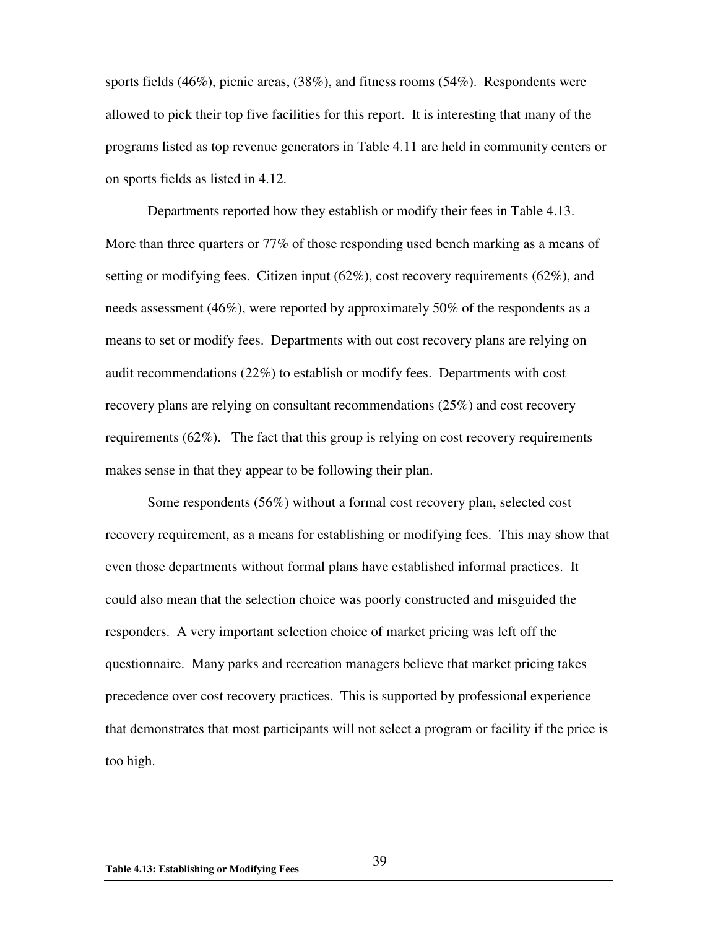sports fields (46%), picnic areas, (38%), and fitness rooms (54%). Respondents were allowed to pick their top five facilities for this report. It is interesting that many of the programs listed as top revenue generators in Table 4.11 are held in community centers or on sports fields as listed in 4.12.

Departments reported how they establish or modify their fees in Table 4.13. More than three quarters or 77% of those responding used bench marking as a means of setting or modifying fees. Citizen input  $(62\%)$ , cost recovery requirements  $(62\%)$ , and needs assessment (46%), were reported by approximately 50% of the respondents as a means to set or modify fees. Departments with out cost recovery plans are relying on audit recommendations (22%) to establish or modify fees. Departments with cost recovery plans are relying on consultant recommendations (25%) and cost recovery requirements (62%). The fact that this group is relying on cost recovery requirements makes sense in that they appear to be following their plan.

Some respondents (56%) without a formal cost recovery plan, selected cost recovery requirement, as a means for establishing or modifying fees. This may show that even those departments without formal plans have established informal practices. It could also mean that the selection choice was poorly constructed and misguided the responders. A very important selection choice of market pricing was left off the questionnaire. Many parks and recreation managers believe that market pricing takes precedence over cost recovery practices. This is supported by professional experience that demonstrates that most participants will not select a program or facility if the price is too high.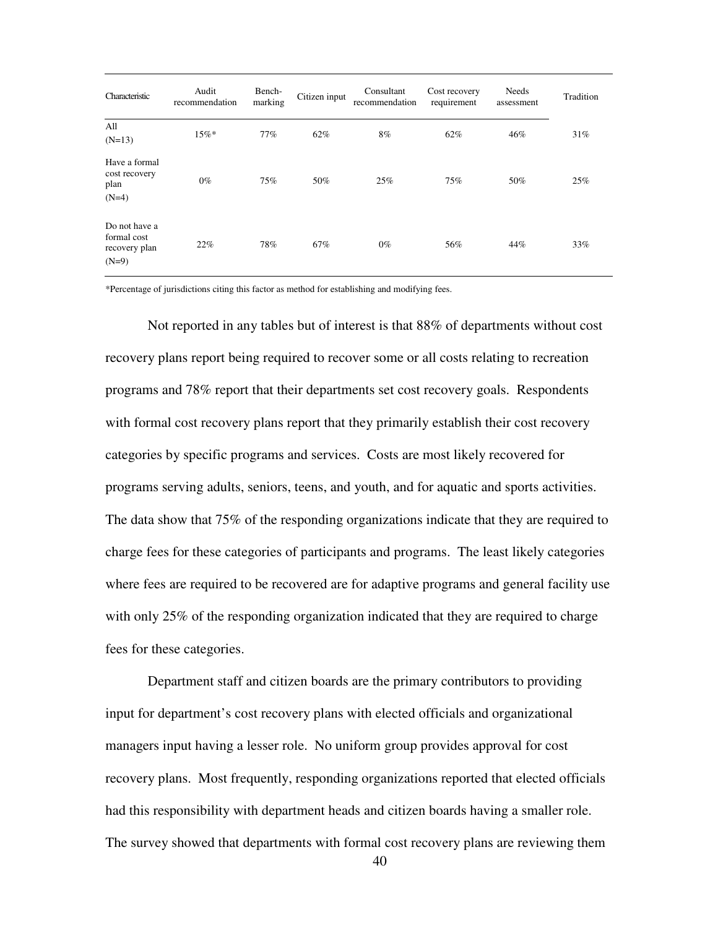| Characteristic                                           | Audit<br>recommendation | Bench-<br>marking | Citizen input | Consultant<br>recommendation | Cost recovery<br>requirement | Needs<br>assessment | Tradition |
|----------------------------------------------------------|-------------------------|-------------------|---------------|------------------------------|------------------------------|---------------------|-----------|
| All<br>$(N=13)$                                          | 15%                     | 77%               | 62%           | 8%                           | 62%                          | 46%                 | 31%       |
| Have a formal<br>cost recovery<br>plan<br>$(N=4)$        | $0\%$                   | 75%               | 50%           | 25%                          | 75%                          | 50%                 | 25%       |
| Do not have a<br>formal cost<br>recovery plan<br>$(N=9)$ | 22%                     | 78%               | 67%           | $0\%$                        | 56%                          | 44%                 | 33%       |

\*Percentage of jurisdictions citing this factor as method for establishing and modifying fees.

Not reported in any tables but of interest is that 88% of departments without cost recovery plans report being required to recover some or all costs relating to recreation programs and 78% report that their departments set cost recovery goals. Respondents with formal cost recovery plans report that they primarily establish their cost recovery categories by specific programs and services. Costs are most likely recovered for programs serving adults, seniors, teens, and youth, and for aquatic and sports activities. The data show that 75% of the responding organizations indicate that they are required to charge fees for these categories of participants and programs. The least likely categories where fees are required to be recovered are for adaptive programs and general facility use with only 25% of the responding organization indicated that they are required to charge fees for these categories.

Department staff and citizen boards are the primary contributors to providing input for department's cost recovery plans with elected officials and organizational managers input having a lesser role. No uniform group provides approval for cost recovery plans. Most frequently, responding organizations reported that elected officials had this responsibility with department heads and citizen boards having a smaller role. The survey showed that departments with formal cost recovery plans are reviewing them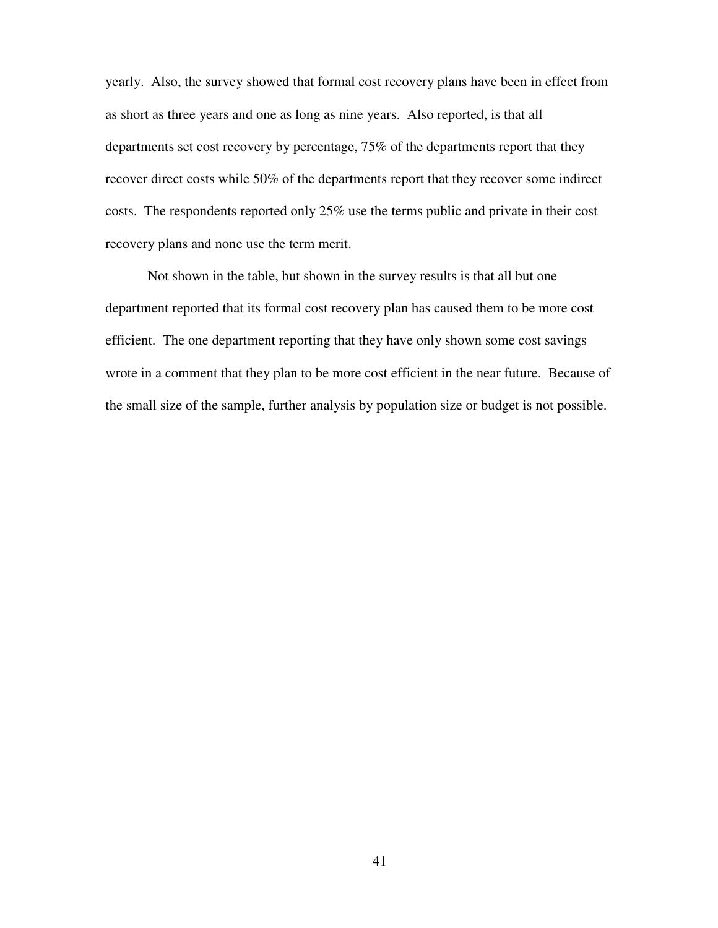yearly. Also, the survey showed that formal cost recovery plans have been in effect from as short as three years and one as long as nine years. Also reported, is that all departments set cost recovery by percentage, 75% of the departments report that they recover direct costs while 50% of the departments report that they recover some indirect costs. The respondents reported only 25% use the terms public and private in their cost recovery plans and none use the term merit.

Not shown in the table, but shown in the survey results is that all but one department reported that its formal cost recovery plan has caused them to be more cost efficient. The one department reporting that they have only shown some cost savings wrote in a comment that they plan to be more cost efficient in the near future. Because of the small size of the sample, further analysis by population size or budget is not possible.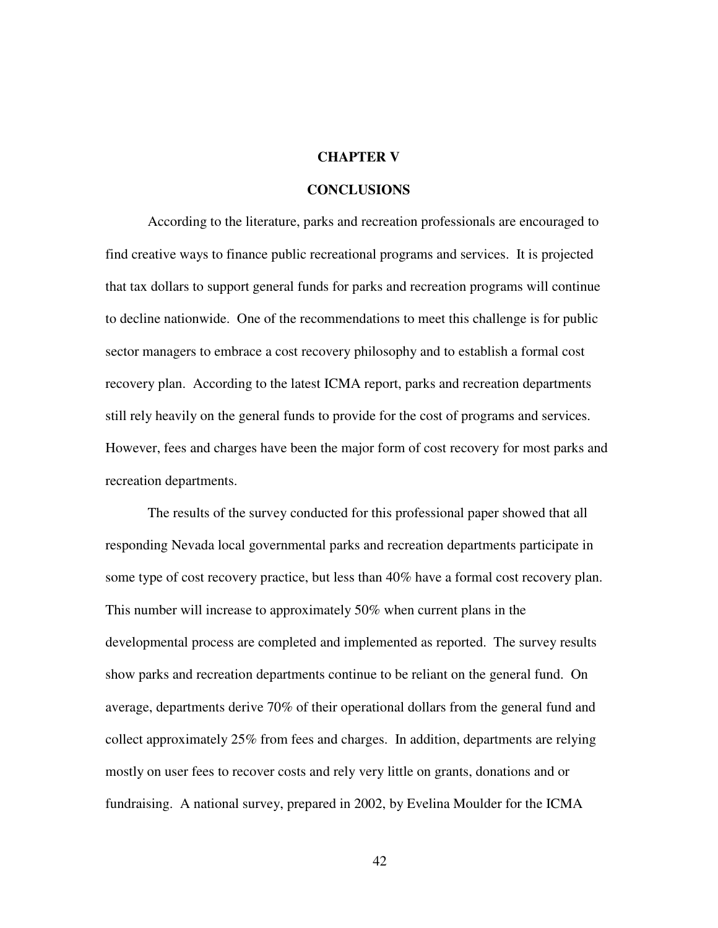#### **CHAPTER V**

#### **CONCLUSIONS**

According to the literature, parks and recreation professionals are encouraged to find creative ways to finance public recreational programs and services. It is projected that tax dollars to support general funds for parks and recreation programs will continue to decline nationwide. One of the recommendations to meet this challenge is for public sector managers to embrace a cost recovery philosophy and to establish a formal cost recovery plan. According to the latest ICMA report, parks and recreation departments still rely heavily on the general funds to provide for the cost of programs and services. However, fees and charges have been the major form of cost recovery for most parks and recreation departments.

The results of the survey conducted for this professional paper showed that all responding Nevada local governmental parks and recreation departments participate in some type of cost recovery practice, but less than 40% have a formal cost recovery plan. This number will increase to approximately 50% when current plans in the developmental process are completed and implemented as reported. The survey results show parks and recreation departments continue to be reliant on the general fund. On average, departments derive 70% of their operational dollars from the general fund and collect approximately 25% from fees and charges. In addition, departments are relying mostly on user fees to recover costs and rely very little on grants, donations and or fundraising. A national survey, prepared in 2002, by Evelina Moulder for the ICMA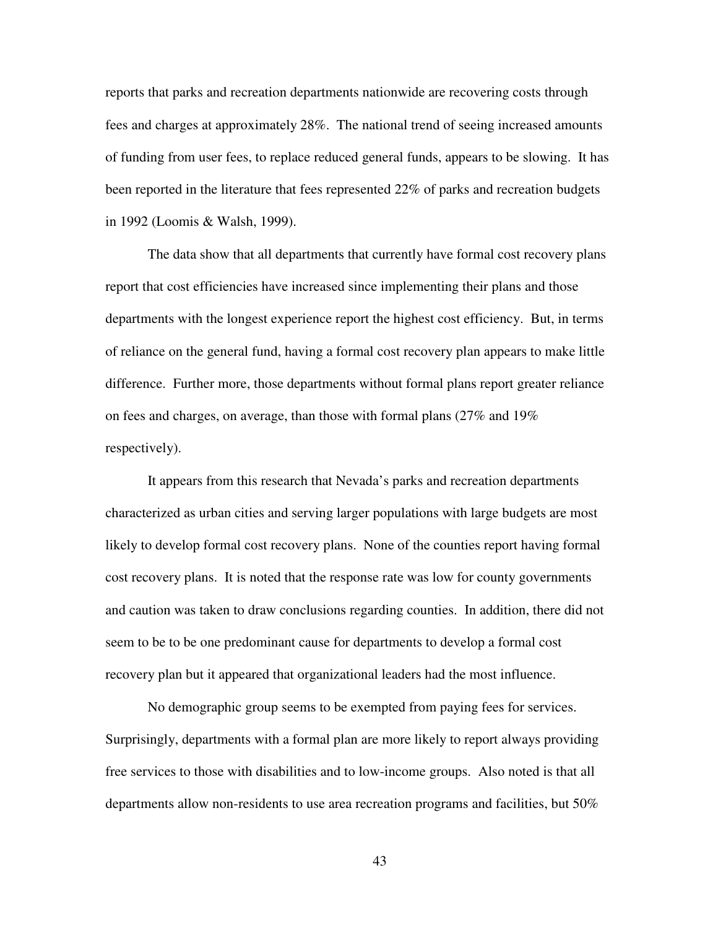reports that parks and recreation departments nationwide are recovering costs through fees and charges at approximately 28%. The national trend of seeing increased amounts of funding from user fees, to replace reduced general funds, appears to be slowing. It has been reported in the literature that fees represented 22% of parks and recreation budgets in 1992 (Loomis & Walsh, 1999).

The data show that all departments that currently have formal cost recovery plans report that cost efficiencies have increased since implementing their plans and those departments with the longest experience report the highest cost efficiency. But, in terms of reliance on the general fund, having a formal cost recovery plan appears to make little difference. Further more, those departments without formal plans report greater reliance on fees and charges, on average, than those with formal plans (27% and 19% respectively).

It appears from this research that Nevada's parks and recreation departments characterized as urban cities and serving larger populations with large budgets are most likely to develop formal cost recovery plans. None of the counties report having formal cost recovery plans. It is noted that the response rate was low for county governments and caution was taken to draw conclusions regarding counties. In addition, there did not seem to be to be one predominant cause for departments to develop a formal cost recovery plan but it appeared that organizational leaders had the most influence.

No demographic group seems to be exempted from paying fees for services. Surprisingly, departments with a formal plan are more likely to report always providing free services to those with disabilities and to low-income groups. Also noted is that all departments allow non-residents to use area recreation programs and facilities, but 50%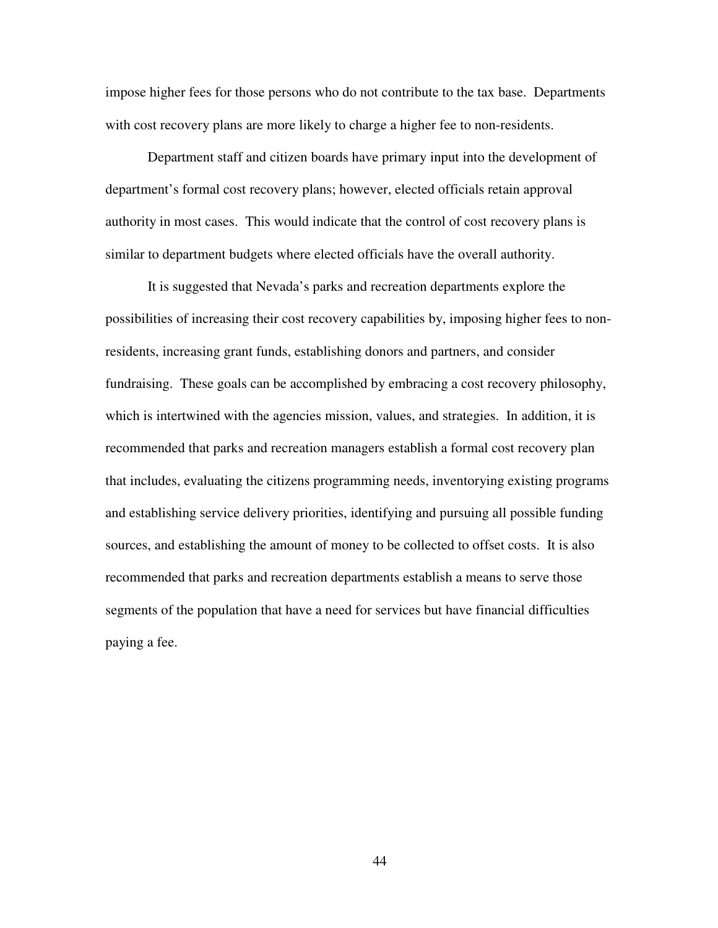impose higher fees for those persons who do not contribute to the tax base. Departments with cost recovery plans are more likely to charge a higher fee to non-residents.

Department staff and citizen boards have primary input into the development of department's formal cost recovery plans; however, elected officials retain approval authority in most cases. This would indicate that the control of cost recovery plans is similar to department budgets where elected officials have the overall authority.

It is suggested that Nevada's parks and recreation departments explore the possibilities of increasing their cost recovery capabilities by, imposing higher fees to nonresidents, increasing grant funds, establishing donors and partners, and consider fundraising. These goals can be accomplished by embracing a cost recovery philosophy, which is intertwined with the agencies mission, values, and strategies. In addition, it is recommended that parks and recreation managers establish a formal cost recovery plan that includes, evaluating the citizens programming needs, inventorying existing programs and establishing service delivery priorities, identifying and pursuing all possible funding sources, and establishing the amount of money to be collected to offset costs. It is also recommended that parks and recreation departments establish a means to serve those segments of the population that have a need for services but have financial difficulties paying a fee.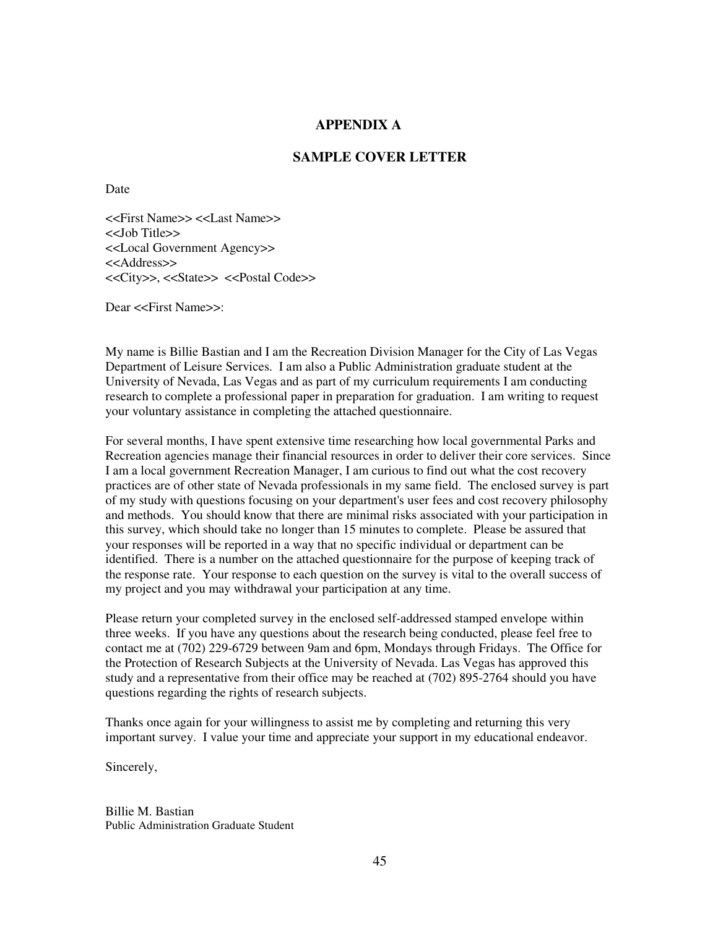#### **APPENDIX A**

#### **SAMPLE COVER LETTER**

Date

<<First Name>> <<Last Name>> <<Job Title>> <<Local Government Agency>> <<Address>> <<City>>, <<State>> <<Postal Code>>

Dear <<First Name>>:

My name is Billie Bastian and I am the Recreation Division Manager for the City of Las Vegas Department of Leisure Services. I am also a Public Administration graduate student at the University of Nevada, Las Vegas and as part of my curriculum requirements I am conducting research to complete a professional paper in preparation for graduation. I am writing to request your voluntary assistance in completing the attached questionnaire.

For several months, I have spent extensive time researching how local governmental Parks and Recreation agencies manage their financial resources in order to deliver their core services. Since I am a local government Recreation Manager, I am curious to find out what the cost recovery practices are of other state of Nevada professionals in my same field. The enclosed survey is part of my study with questions focusing on your department's user fees and cost recovery philosophy and methods. You should know that there are minimal risks associated with your participation in this survey, which should take no longer than 15 minutes to complete. Please be assured that your responses will be reported in a way that no specific individual or department can be identified. There is a number on the attached questionnaire for the purpose of keeping track of the response rate. Your response to each question on the survey is vital to the overall success of my project and you may withdrawal your participation at any time.

Please return your completed survey in the enclosed self-addressed stamped envelope within three weeks. If you have any questions about the research being conducted, please feel free to contact me at (702) 229-6729 between 9am and 6pm, Mondays through Fridays. The Office for the Protection of Research Subjects at the University of Nevada. Las Vegas has approved this study and a representative from their office may be reached at (702) 895-2764 should you have questions regarding the rights of research subjects.

Thanks once again for your willingness to assist me by completing and returning this very important survey. I value your time and appreciate your support in my educational endeavor.

Sincerely,

Billie M. Bastian Public Administration Graduate Student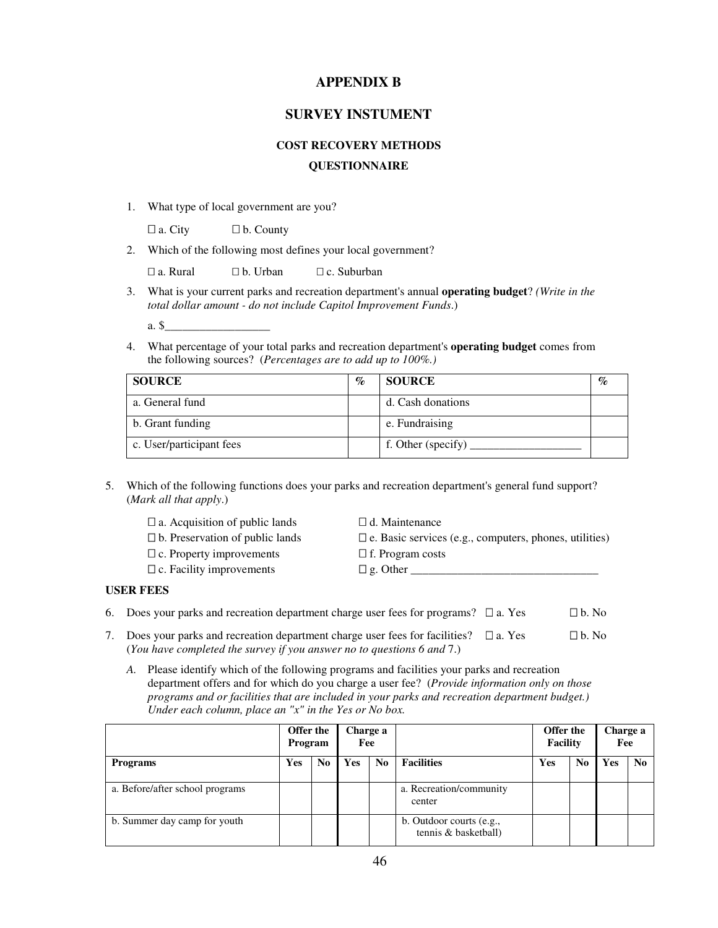#### **APPENDIX B**

#### **SURVEY INSTUMENT**

#### **COST RECOVERY METHODS**

#### **QUESTIONNAIRE**

1. What type of local government are you?

a. City b. County

2. Which of the following most defines your local government?

a. Rural b. Urban c. Suburban

3. What is your current parks and recreation department's annual **operating budget**? *(Write in the total dollar amount - do not include Capitol Improvement Funds*.)

a. \$\_\_\_\_\_\_\_\_\_\_\_\_\_\_\_\_\_\_

4. What percentage of your total parks and recreation department's **operating budget** comes from the following sources? (*Percentages are to add up to 100%.)*

| <b>SOURCE</b>            | $\%$ | <b>SOURCE</b>      | $\mathscr{A}_{\bm{\ell}}$ |
|--------------------------|------|--------------------|---------------------------|
| a. General fund          |      | d. Cash donations  |                           |
| b. Grant funding         |      | e. Fundraising     |                           |
| c. User/participant fees |      | f. Other (specify) |                           |

5. Which of the following functions does your parks and recreation department's general fund support? (*Mark all that apply*.)

| a. Acquisition of public lands  | d. Maintenance                                         |
|---------------------------------|--------------------------------------------------------|
| b. Preservation of public lands | e. Basic services (e.g., computers, phones, utilities) |
| c. Property improvements        | f. Program costs                                       |
| c. Facility improvements        | g. Other                                               |
| <b>FEES</b>                     |                                                        |

#### **USER**

| 6. Does your parks and recreation department charge user fees for programs? a. Yes   | b. No |
|--------------------------------------------------------------------------------------|-------|
| 7. Does your parks and recreation department charge user fees for facilities? a. Yes | b. No |

- (*You have completed the survey if you answer no to questions 6 and* 7.)
	- *A.* Please identify which of the following programs and facilities your parks and recreation department offers and for which do you charge a user fee? (*Provide information only on those programs and or facilities that are included in your parks and recreation department budget.) Under each column, place an "x" in the Yes or No box.*

|                                 | Offer the<br>Program |                | Charge a<br>Fee |                |                                                  |     | Offer the<br>Charge a<br>Facility<br>Fee |     |                |
|---------------------------------|----------------------|----------------|-----------------|----------------|--------------------------------------------------|-----|------------------------------------------|-----|----------------|
| <b>Programs</b>                 | Yes                  | N <sub>0</sub> | <b>Yes</b>      | N <sub>0</sub> | <b>Facilities</b>                                | Yes | No                                       | Yes | N <sub>0</sub> |
| a. Before/after school programs |                      |                |                 |                | a. Recreation/community<br>center                |     |                                          |     |                |
| b. Summer day camp for youth    |                      |                |                 |                | b. Outdoor courts (e.g.,<br>tennis & basketball) |     |                                          |     |                |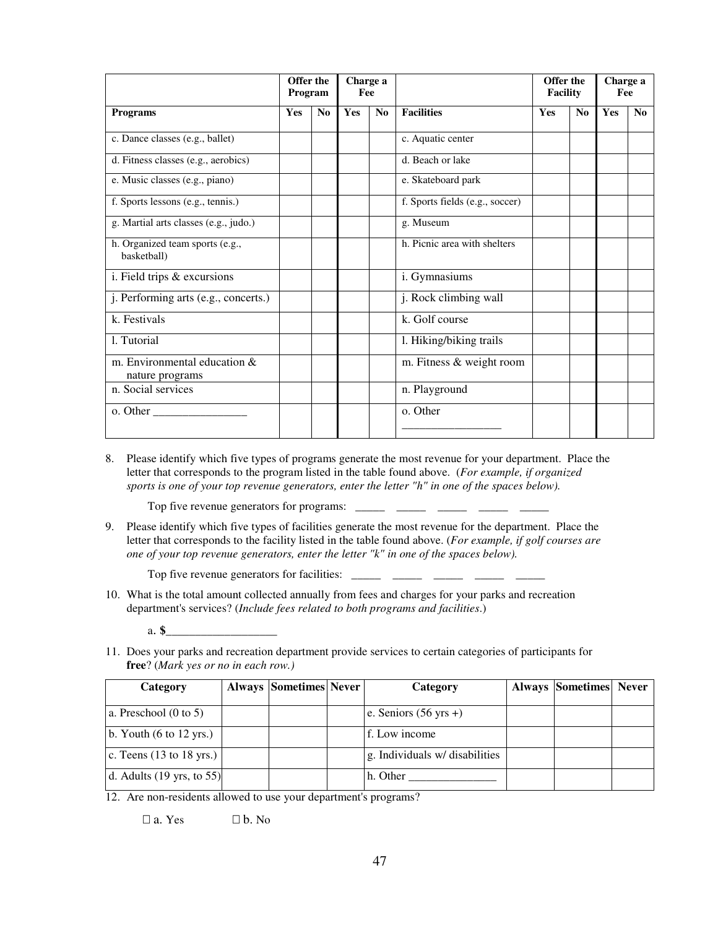|                                                 | Offer the<br>Program |                | Fee | Charge a       |                                 | Offer the<br><b>Facility</b> |                | Charge a<br>Fee |                |
|-------------------------------------------------|----------------------|----------------|-----|----------------|---------------------------------|------------------------------|----------------|-----------------|----------------|
| <b>Programs</b>                                 | <b>Yes</b>           | N <sub>0</sub> | Yes | N <sub>0</sub> | <b>Facilities</b>               | <b>Yes</b>                   | N <sub>0</sub> | <b>Yes</b>      | N <sub>0</sub> |
| c. Dance classes (e.g., ballet)                 |                      |                |     |                | c. Aquatic center               |                              |                |                 |                |
| d. Fitness classes (e.g., aerobics)             |                      |                |     |                | d. Beach or lake                |                              |                |                 |                |
| e. Music classes (e.g., piano)                  |                      |                |     |                | e. Skateboard park              |                              |                |                 |                |
| f. Sports lessons (e.g., tennis.)               |                      |                |     |                | f. Sports fields (e.g., soccer) |                              |                |                 |                |
| g. Martial arts classes (e.g., judo.)           |                      |                |     |                | g. Museum                       |                              |                |                 |                |
| h. Organized team sports (e.g.,<br>basketball)  |                      |                |     |                | h. Picnic area with shelters    |                              |                |                 |                |
| i. Field trips & excursions                     |                      |                |     |                | i. Gymnasiums                   |                              |                |                 |                |
| j. Performing arts (e.g., concerts.)            |                      |                |     |                | j. Rock climbing wall           |                              |                |                 |                |
| k. Festivals                                    |                      |                |     |                | k. Golf course                  |                              |                |                 |                |
| 1. Tutorial                                     |                      |                |     |                | 1. Hiking/biking trails         |                              |                |                 |                |
| m. Environmental education &<br>nature programs |                      |                |     |                | m. Fitness & weight room        |                              |                |                 |                |
| n. Social services                              |                      |                |     |                | n. Playground                   |                              |                |                 |                |
| o. Other                                        |                      |                |     |                | o. Other                        |                              |                |                 |                |

8. Please identify which five types of programs generate the most revenue for your department. Place the letter that corresponds to the program listed in the table found above. (*For example, if organized sports is one of your top revenue generators, enter the letter "h" in one of the spaces below).* 

Top five revenue generators for programs:

9. Please identify which five types of facilities generate the most revenue for the department. Place the letter that corresponds to the facility listed in the table found above. (*For example, if golf courses are one of your top revenue generators, enter the letter "k" in one of the spaces below).*

Top five revenue generators for facilities:  $\frac{1}{\sqrt{1-\frac{1}{2}} \pm 1}$   $\frac{1}{\sqrt{1-\frac{1}{2}} \pm 1}$ 

10. What is the total amount collected annually from fees and charges for your parks and recreation department's services? (*Include fees related to both programs and facilities*.)

a. **\$\_\_\_\_\_\_\_\_\_\_\_\_\_\_\_\_\_\_\_**

11. Does your parks and recreation department provide services to certain categories of participants for **free**? (*Mark yes or no in each row.)*

| Category                                     | <b>Always Sometimes Never</b> | Category                        | <b>Always Sometimes Never</b> |  |
|----------------------------------------------|-------------------------------|---------------------------------|-------------------------------|--|
| a. Preschool $(0 \text{ to } 5)$             |                               | e. Seniors $(56 \text{ yrs} +)$ |                               |  |
|                                              |                               |                                 |                               |  |
| b. Youth $(6 \text{ to } 12 \text{ yrs.})$   |                               | f. Low income                   |                               |  |
| c. Teens $(13 \text{ to } 18 \text{ yrs.})$  |                               | g. Individuals w/ disabilities  |                               |  |
| d. Adults $(19 \text{ yrs}, \text{ to } 55)$ |                               | h. Other                        |                               |  |

12. Are non-residents allowed to use your department's programs?

a. Yes b. No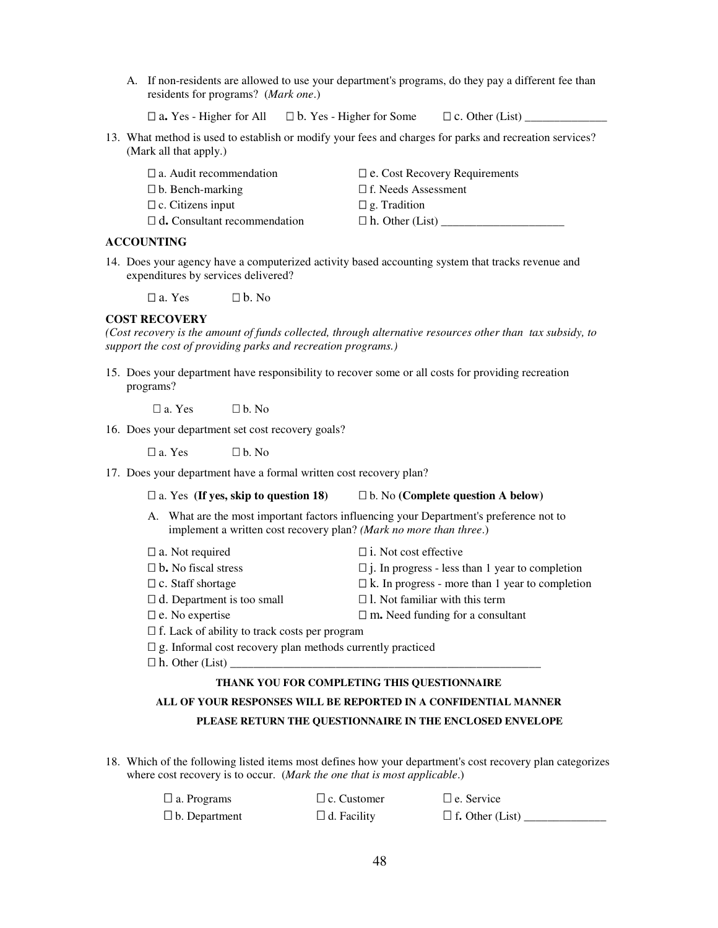A. If non-residents are allowed to use your department's programs, do they pay a different fee than residents for programs? (*Mark one*.)

a. Yes - Higher for All b. Yes - Higher for Some c. Other (List) \_\_\_\_\_\_\_\_\_\_\_\_\_\_\_

13. What method is used to establish or modify your fees and charges for parks and recreation services? (Mark all that apply.)

| a. Audit recommendation      | e. Cost Recovery Requirements |
|------------------------------|-------------------------------|
| b. Bench-marking             | f. Needs Assessment           |
| c. Citizens input            | g. Tradition                  |
| d. Consultant recommendation | h. Other (List)               |

#### **ACCOUNTING**

14. Does your agency have a computerized activity based accounting system that tracks revenue and expenditures by services delivered?

a. Yes b. No

#### **COST RECOVERY**

*(Cost recovery is the amount of funds collected, through alternative resources other than tax subsidy, to support the cost of providing parks and recreation programs.)*

15. Does your department have responsibility to recover some or all costs for providing recreation programs?

a. Yes b. No

16. Does your department set cost recovery goals?

a. Yes b. No

17. Does your department have a formal written cost recovery plan?

#### a. Yes **(If yes, skip to question 18)** b. No **(Complete question A below)**

A. What are the most important factors influencing your Department's preference not to implement a written cost recovery plan? *(Mark no more than three*.)

| a. Not required                               | <i>i</i> . Not cost effective                   |
|-----------------------------------------------|-------------------------------------------------|
| b. No fiscal stress                           | j. In progress - less than 1 year to completion |
| c. Staff shortage                             | k. In progress - more than 1 year to completion |
| d. Department is too small                    | 1. Not familiar with this term                  |
| e. No expertise                               | m. Need funding for a consultant                |
| f. Lack of ability to track costs per program |                                                 |

- g. Informal cost recovery plan methods currently practiced
- h. Other (List) \_

#### **THANK YOU FOR COMPLETING THIS QUESTIONNAIRE**

#### **ALL OF YOUR RESPONSES WILL BE REPORTED IN A CONFIDENTIAL MANNER PLEASE RETURN THE QUESTIONNAIRE IN THE ENCLOSED ENVELOPE**

18. Which of the following listed items most defines how your department's cost recovery plan categorizes where cost recovery is to occur. (*Mark the one that is most applicable*.)

| a. Programs   | c. Customer | e. Service      |
|---------------|-------------|-----------------|
| b. Department | d. Facility | f. Other (List) |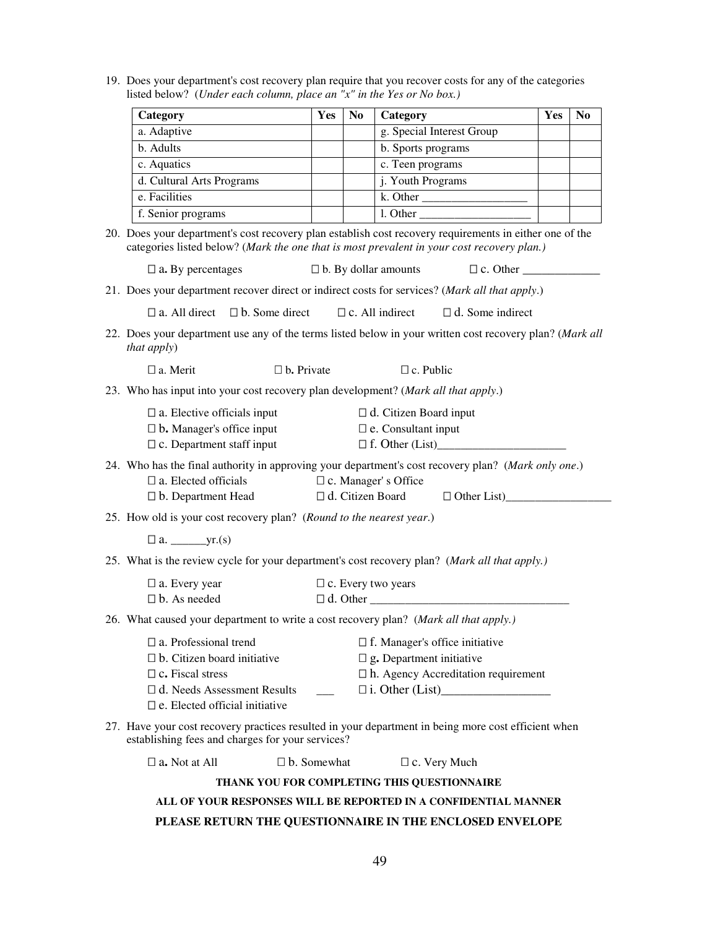19. Does your department's cost recovery plan require that you recover costs for any of the categories listed below? (*Under each column, place an "x" in the Yes or No box.)*

| Category                  | Yes | N <sub>0</sub> | Category                  | Yes | No |
|---------------------------|-----|----------------|---------------------------|-----|----|
| a. Adaptive               |     |                | g. Special Interest Group |     |    |
| b. Adults                 |     |                | b. Sports programs        |     |    |
| c. Aquatics               |     |                | c. Teen programs          |     |    |
| d. Cultural Arts Programs |     |                | j. Youth Programs         |     |    |
| e. Facilities             |     |                | k. Other                  |     |    |
| f. Senior programs        |     |                | l. Other                  |     |    |

20. Does your department's cost recovery plan establish cost recovery requirements in either one of the categories listed below? (*Mark the one that is most prevalent in your cost recovery plan.)*

|                   | b. By dollar amounts | c. Other |  |
|-------------------|----------------------|----------|--|
| a. By percentages |                      |          |  |

21. Does your department recover direct or indirect costs for services? (*Mark all that apply*.)

a. All direct b. Some direct c. All indirect d. Some indirect

22. Does your department use any of the terms listed below in your written cost recovery plan? (*Mark all that apply*)

| a. Merit | b. Private | c. Public |
|----------|------------|-----------|
|          |            |           |

23. Who has input into your cost recovery plan development? (*Mark all that apply*.)

| a. Elective officials input      | d. Citizen Board input |
|----------------------------------|------------------------|
| <b>b.</b> Manager's office input | e. Consultant input    |
| c. Department staff input        | f. Other (List)        |

24. Who has the final authority in approving your department's cost recovery plan? (*Mark only one*.)

 a. Elected officials c. Manager' s Office b. Department Head d. Citizen Board Other List)

25. How old is your cost recovery plan? (*Round to the nearest year*.)

a. \_\_\_\_\_\_yr.(s)

25. What is the review cycle for your department's cost recovery plan? (*Mark all that apply.)*

| a. Every year | c. Every two years |
|---------------|--------------------|
| b. As needed  | . Other            |

26. What caused your department to write a cost recovery plan? (*Mark all that apply.)*

| a. Professional trend          | f. Manager's office initiative      |
|--------------------------------|-------------------------------------|
| b. Citizen board initiative    | g. Department initiative            |
| c. Fiscal stress               | h. Agency Accreditation requirement |
| d. Needs Assessment Results    | i. Other (List)                     |
| e. Elected official initiative |                                     |

27. Have your cost recovery practices resulted in your department in being more cost efficient when establishing fees and charges for your services?

a. Not at All **b.** Somewhat **c. Very Much** 

#### **THANK YOU FOR COMPLETING THIS QUESTIONNAIRE**

#### **ALL OF YOUR RESPONSES WILL BE REPORTED IN A CONFIDENTIAL MANNER**

#### **PLEASE RETURN THE QUESTIONNAIRE IN THE ENCLOSED ENVELOPE**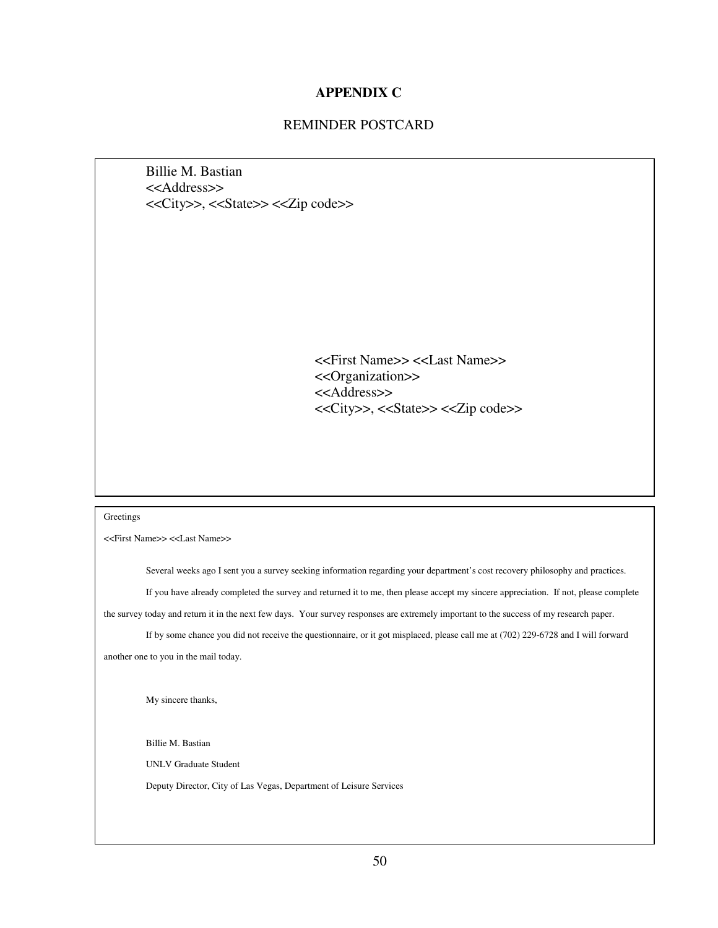#### **APPENDIX C**

#### REMINDER POSTCARD

Billie M. Bastian <<Address>> <<City>>, <<State>> <<Zip code>>

> <<First Name>> <<Last Name>> <<Organization>> <<Address>> <<City>>, <<State>> <<Zip code>>

#### **Greetings**

<<First Name>> <<Last Name>>

Several weeks ago I sent you a survey seeking information regarding your department's cost recovery philosophy and practices. If you have already completed the survey and returned it to me, then please accept my sincere appreciation. If not, please complete

the survey today and return it in the next few days. Your survey responses are extremely important to the success of my research paper.

If by some chance you did not receive the questionnaire, or it got misplaced, please call me at (702) 229-6728 and I will forward another one to you in the mail today.

My sincere thanks,

Billie M. Bastian

UNLV Graduate Student

Deputy Director, City of Las Vegas, Department of Leisure Services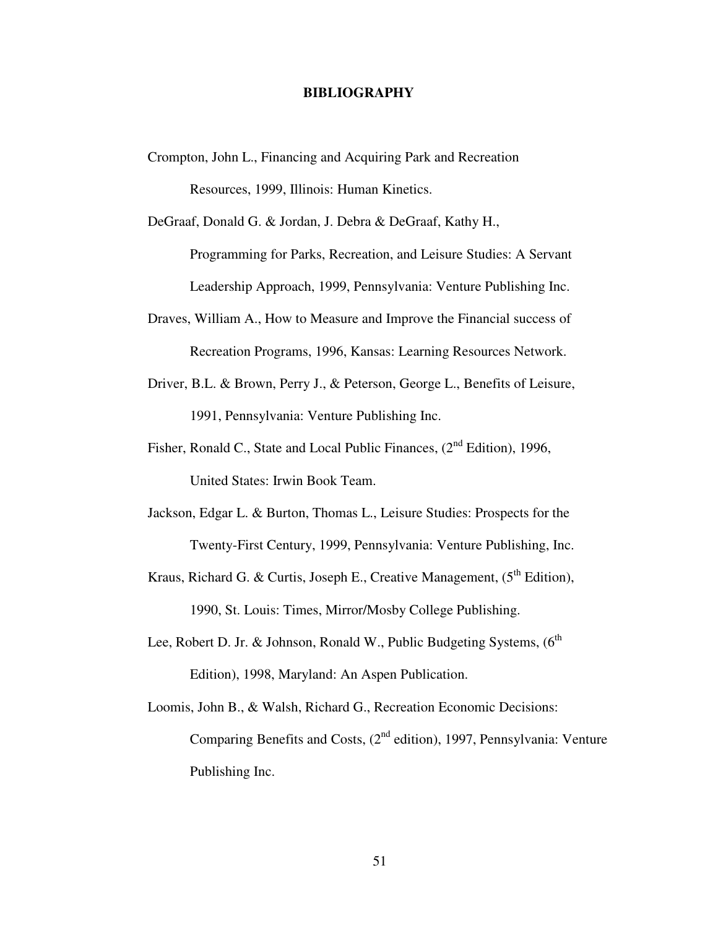#### **BIBLIOGRAPHY**

Crompton, John L., Financing and Acquiring Park and Recreation Resources, 1999, Illinois: Human Kinetics.

DeGraaf, Donald G. & Jordan, J. Debra & DeGraaf, Kathy H., Programming for Parks, Recreation, and Leisure Studies: A Servant

Leadership Approach, 1999, Pennsylvania: Venture Publishing Inc.

- Draves, William A., How to Measure and Improve the Financial success of Recreation Programs, 1996, Kansas: Learning Resources Network.
- Driver, B.L. & Brown, Perry J., & Peterson, George L., Benefits of Leisure, 1991, Pennsylvania: Venture Publishing Inc.
- Fisher, Ronald C., State and Local Public Finances, (2<sup>nd</sup> Edition), 1996, United States: Irwin Book Team.
- Jackson, Edgar L. & Burton, Thomas L., Leisure Studies: Prospects for the Twenty-First Century, 1999, Pennsylvania: Venture Publishing, Inc.
- Kraus, Richard G. & Curtis, Joseph E., Creative Management,  $(5<sup>th</sup> Edition)$ , 1990, St. Louis: Times, Mirror/Mosby College Publishing.
- Lee, Robert D. Jr. & Johnson, Ronald W., Public Budgeting Systems,  $(6^{th}$ Edition), 1998, Maryland: An Aspen Publication.
- Loomis, John B., & Walsh, Richard G., Recreation Economic Decisions: Comparing Benefits and Costs, (2<sup>nd</sup> edition), 1997, Pennsylvania: Venture Publishing Inc.